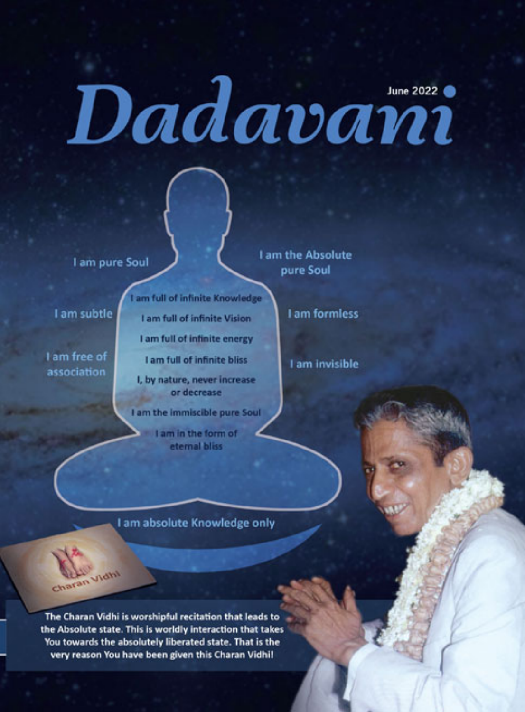# *Dadavani*

I am pure Soul

Vidhi

haran

I am subtle

I am free of association

I am full of infinite Knowledge

I am full of infinite Vision

I am full of infinite energy

I am full of infinite bliss

I, by nature, never increase or decrease

I am the immiscible pure Soul

I am in the form of eternal bliss

I am the Absolute pure Soul

I am formless

I am invisible

I am absolute Knowledge only

The Charan Vidhi is worshipful recitation that leads to the Absolute state. This is worldly interaction that takes You towards the absolutely liberated state. That is the very reason You have been given this Charan Vidhi!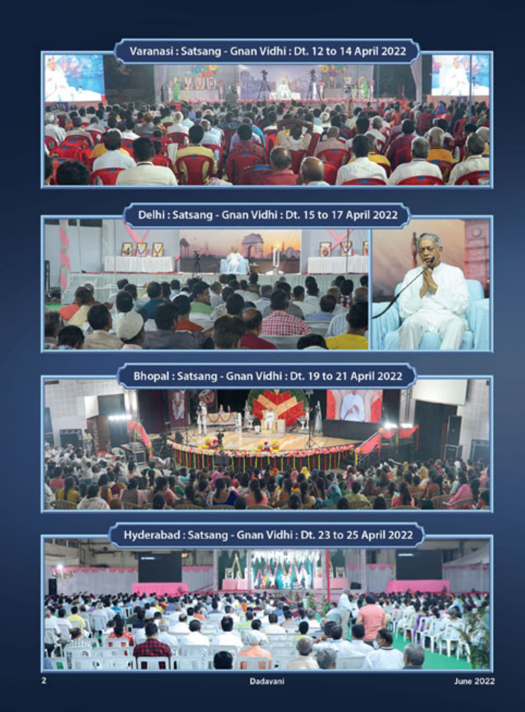

Delhi : Satsang - Gnan Vidhi : Dt. 15 to 17 April 2022



Bhopal: Satsang - Gnan Vidhi: Dt. 19 to 21 April 2022



Hyderabad: Satsang - Gnan Vidhi: Dt. 23 to 25 April 2022

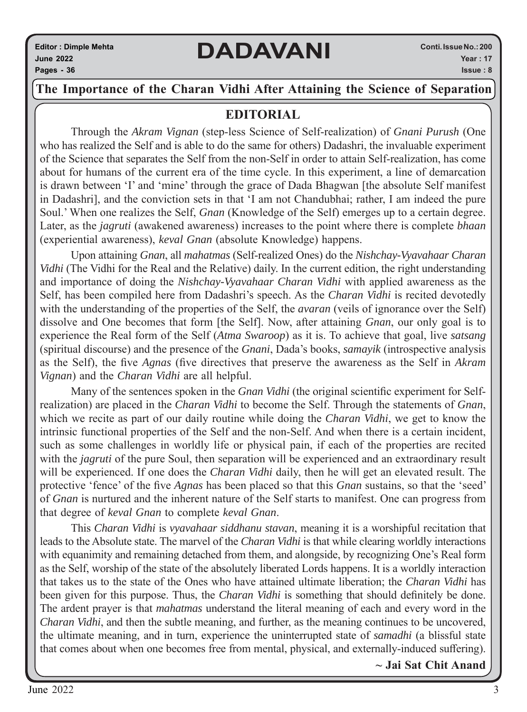### **The Importance of the Charan Vidhi After Attaining the Science of Separation**

### **EDITORIAL**

Through the *Akram Vignan* (step-less Science of Self-realization) of *Gnani Purush* (One who has realized the Self and is able to do the same for others) Dadashri, the invaluable experiment of the Science that separates the Self from the non-Self in order to attain Self-realization, has come about for humans of the current era of the time cycle. In this experiment, a line of demarcation is drawn between 'I' and 'mine' through the grace of Dada Bhagwan [the absolute Self manifest in Dadashri], and the conviction sets in that 'I am not Chandubhai; rather, I am indeed the pure Soul.' When one realizes the Self, *Gnan* (Knowledge of the Self) emerges up to a certain degree. Later, as the *jagruti* (awakened awareness) increases to the point where there is complete *bhaan* (experiential awareness), *keval Gnan* (absolute Knowledge) happens.

Upon attaining *Gnan*, all *mahatmas* (Self-realized Ones) do the *Nishchay-Vyavahaar Charan Vidhi* (The Vidhi for the Real and the Relative) daily. In the current edition, the right understanding and importance of doing the *Nishchay-Vyavahaar Charan Vidhi* with applied awareness as the Self, has been compiled here from Dadashri's speech. As the *Charan Vidhi* is recited devotedly with the understanding of the properties of the Self, the *avaran* (veils of ignorance over the Self) dissolve and One becomes that form [the Self]. Now, after attaining *Gnan*, our only goal is to experience the Real form of the Self (*Atma Swaroop*) as it is. To achieve that goal, live *satsang*  (spiritual discourse) and the presence of the *Gnani*, Dada's books, *samayik* (introspective analysis as the Self), the five *Agnas* (five directives that preserve the awareness as the Self in *Akram Vignan*) and the *Charan Vidhi* are all helpful.

Many of the sentences spoken in the *Gnan Vidhi* (the original scientific experiment for Selfrealization) are placed in the *Charan Vidhi* to become the Self. Through the statements of *Gnan*, which we recite as part of our daily routine while doing the *Charan Vidhi*, we get to know the intrinsic functional properties of the Self and the non-Self. And when there is a certain incident, such as some challenges in worldly life or physical pain, if each of the properties are recited with the *jagruti* of the pure Soul, then separation will be experienced and an extraordinary result will be experienced. If one does the *Charan Vidhi* daily, then he will get an elevated result. The protective 'fence' of the five *Agnas* has been placed so that this *Gnan* sustains, so that the 'seed' of *Gnan* is nurtured and the inherent nature of the Self starts to manifest. One can progress from that degree of *keval Gnan* to complete *keval Gnan*.

This *Charan Vidhi* is *vyavahaar siddhanu stavan*, meaning it is a worshipful recitation that leads to the Absolute state. The marvel of the *Charan Vidhi* is that while clearing worldly interactions with equanimity and remaining detached from them, and alongside, by recognizing One's Real form as the Self, worship of the state of the absolutely liberated Lords happens. It is a worldly interaction that takes us to the state of the Ones who have attained ultimate liberation; the *Charan Vidhi* has been given for this purpose. Thus, the *Charan Vidhi* is something that should definitely be done. The ardent prayer is that *mahatmas* understand the literal meaning of each and every word in the *Charan Vidhi*, and then the subtle meaning, and further, as the meaning continues to be uncovered, the ultimate meaning, and in turn, experience the uninterrupted state of *samadhi* (a blissful state that comes about when one becomes free from mental, physical, and externally-induced suffering).

**~ Jai Sat Chit Anand**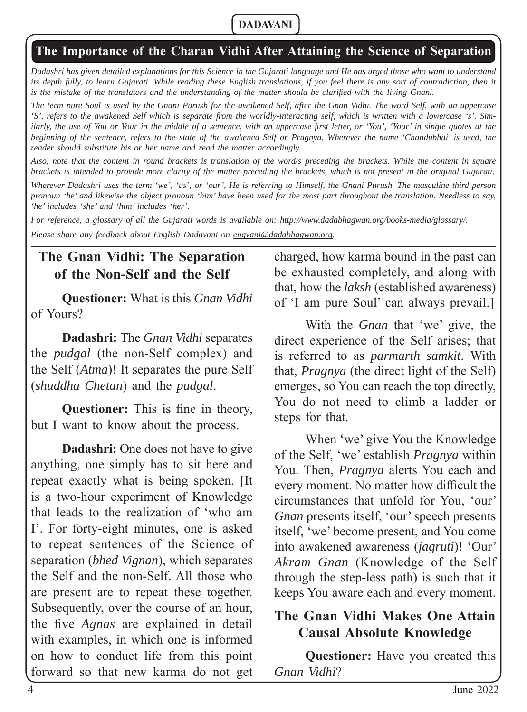### **The Importance of the Charan Vidhi After Attaining the Science of Separation**

*Dadashri has given detailed explanations for this Science in the Gujarati language and He has urged those who want to understand*  its depth fully, to learn Gujarati. While reading these English translations, if you feel there is any sort of contradiction, then it *is the mistake of the translators and the understanding of the matter should be clarified with the living Gnani.* 

*The term pure Soul is used by the Gnani Purush for the awakened Self, after the Gnan Vidhi. The word Self, with an uppercase 'S', refers to the awakened Self which is separate from the worldly-interacting self, which is written with a lowercase 's'. Similarly, the use of You or Your in the middle of a sentence, with an uppercase first letter, or 'You', 'Your' in single quotes at the beginning of the sentence, refers to the state of the awakened Self or Pragnya. Wherever the name 'Chandubhai' is used, the reader should substitute his or her name and read the matter accordingly.* 

*Also, note that the content in round brackets is translation of the word/s preceding the brackets. While the content in square brackets is intended to provide more clarity of the matter preceding the brackets, which is not present in the original Gujarati.* 

*Wherever Dadashri uses the term 'we', 'us', or 'our', He is referring to Himself, the Gnani Purush. The masculine third person pronoun 'he' and likewise the object pronoun 'him' have been used for the most part throughout the translation. Needless to say, 'he' includes 'she' and 'him' includes 'her'.*

*For reference, a glossary of all the Gujarati words is available on: http://www.dadabhagwan.org/books-media/glossary/. Please share any feedback about English Dadavani on engvani@dadabhagwan.org.*

# **The Gnan Vidhi: The Separation of the Non-Self and the Self**

**Questioner:** What is this *Gnan Vidhi*  of Yours?

**Dadashri:** The *Gnan Vidhi* separates the *pudgal* (the non-Self complex) and the Self (*Atma*)! It separates the pure Self (*shuddha Chetan*) and the *pudgal*.

**Questioner:** This is fine in theory, but I want to know about the process.

**Dadashri:** One does not have to give anything, one simply has to sit here and repeat exactly what is being spoken. [It is a two-hour experiment of Knowledge that leads to the realization of 'who am I'. For forty-eight minutes, one is asked to repeat sentences of the Science of separation (*bhed Vignan*), which separates the Self and the non-Self. All those who are present are to repeat these together. Subsequently, over the course of an hour, the five *Agnas* are explained in detail with examples, in which one is informed on how to conduct life from this point forward so that new karma do not get

charged, how karma bound in the past can be exhausted completely, and along with that, how the *laksh* (established awareness) of 'I am pure Soul' can always prevail.]

With the *Gnan* that 'we' give, the direct experience of the Self arises; that is referred to as *parmarth samkit*. With that, *Pragnya* (the direct light of the Self) emerges, so You can reach the top directly, You do not need to climb a ladder or steps for that.

When 'we' give You the Knowledge of the Self, 'we' establish *Pragnya* within You. Then, *Pragnya* alerts You each and every moment. No matter how difficult the circumstances that unfold for You, 'our' *Gnan* presents itself, 'our' speech presents itself, 'we' become present, and You come into awakened awareness (*jagruti*)! 'Our' *Akram Gnan* (Knowledge of the Self through the step-less path) is such that it keeps You aware each and every moment.

### **The Gnan Vidhi Makes One Attain Causal Absolute Knowledge**

**Questioner:** Have you created this *Gnan Vidhi*?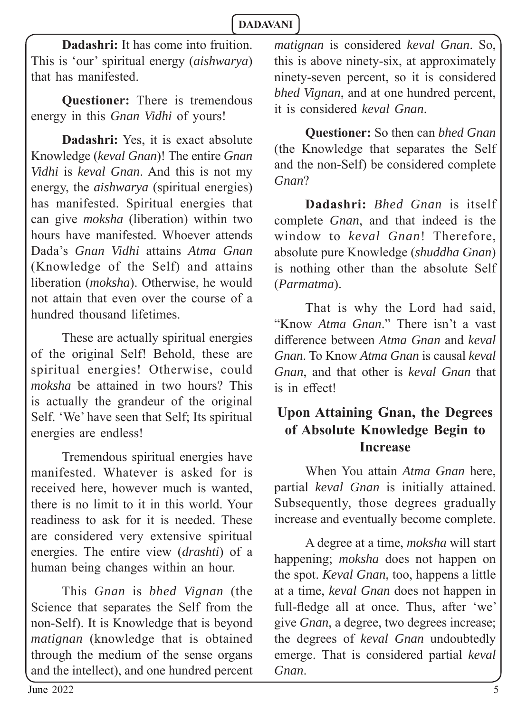**Dadashri:** It has come into fruition. This is 'our' spiritual energy (*aishwarya*) that has manifested.

**Questioner:** There is tremendous energy in this *Gnan Vidhi* of yours!

**Dadashri:** Yes, it is exact absolute Knowledge (*keval Gnan*)! The entire *Gnan Vidhi* is *keval Gnan*. And this is not my energy, the *aishwarya* (spiritual energies) has manifested. Spiritual energies that can give *moksha* (liberation) within two hours have manifested. Whoever attends Dada's *Gnan Vidhi* attains *Atma Gnan*  (Knowledge of the Self) and attains liberation (*moksha*). Otherwise, he would not attain that even over the course of a hundred thousand lifetimes.

These are actually spiritual energies of the original Self! Behold, these are spiritual energies! Otherwise, could *moksha* be attained in two hours? This is actually the grandeur of the original Self. 'We' have seen that Self; Its spiritual energies are endless!

Tremendous spiritual energies have manifested. Whatever is asked for is received here, however much is wanted, there is no limit to it in this world. Your readiness to ask for it is needed. These are considered very extensive spiritual energies. The entire view (*drashti*) of a human being changes within an hour.

This *Gnan* is *bhed Vignan* (the Science that separates the Self from the non-Self). It is Knowledge that is beyond *matignan* (knowledge that is obtained through the medium of the sense organs and the intellect), and one hundred percent *matignan* is considered *keval Gnan*. So, this is above ninety-six, at approximately ninety-seven percent, so it is considered *bhed Vignan*, and at one hundred percent, it is considered *keval Gnan*.

**Questioner:** So then can *bhed Gnan* (the Knowledge that separates the Self and the non-Self) be considered complete *Gnan*?

**Dadashri:** *Bhed Gnan* is itself complete *Gnan*, and that indeed is the window to *keval Gnan*! Therefore, absolute pure Knowledge (*shuddha Gnan*) is nothing other than the absolute Self (*Parmatma*).

That is why the Lord had said, "Know *Atma Gnan*." There isn't a vast diff erence between *Atma Gnan* and *keval Gnan*. To Know *Atma Gnan* is causal *keval Gnan*, and that other is *keval Gnan* that is in effect!

# **Upon Attaining Gnan, the Degrees of Absolute Knowledge Begin to Increase**

When You attain *Atma Gnan* here, partial *keval Gnan* is initially attained. Subsequently, those degrees gradually increase and eventually become complete.

A degree at a time, *moksha* will start happening; *moksha* does not happen on the spot. *Keval Gnan*, too, happens a little at a time, *keval Gnan* does not happen in full-fledge all at once. Thus, after 'we' give *Gnan*, a degree, two degrees increase; the degrees of *keval Gnan* undoubtedly emerge. That is considered partial *keval Gnan*.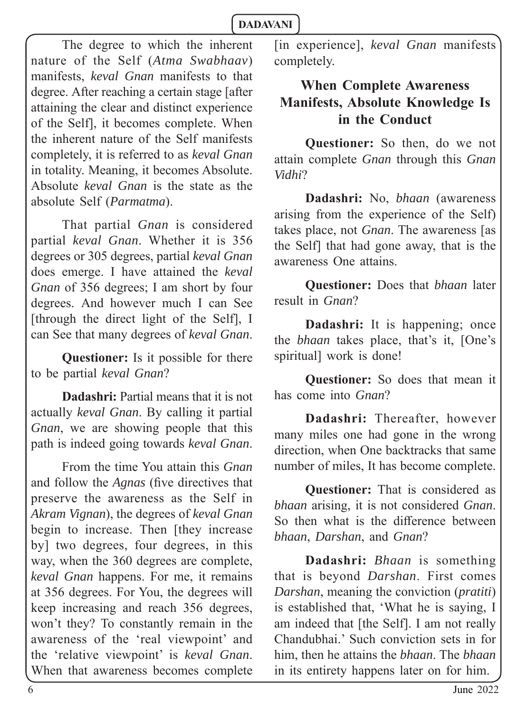The degree to which the inherent nature of the Self (*Atma Swabhaav*) manifests, *keval Gnan* manifests to that degree. After reaching a certain stage [after attaining the clear and distinct experience of the Self], it becomes complete. When the inherent nature of the Self manifests completely, it is referred to as *keval Gnan*  in totality. Meaning, it becomes Absolute. Absolute *keval Gnan* is the state as the absolute Self (*Parmatma*).

That partial *Gnan* is considered partial *keval Gnan*. Whether it is 356 degrees or 305 degrees, partial *keval Gnan* does emerge. I have attained the *keval Gnan* of 356 degrees; I am short by four degrees. And however much I can See [through the direct light of the Self], I can See that many degrees of *keval Gnan*.

**Questioner:** Is it possible for there to be partial *keval Gnan*?

**Dadashri:** Partial means that it is not actually *keval Gnan*. By calling it partial *Gnan*, we are showing people that this path is indeed going towards *keval Gnan*.

From the time You attain this *Gnan* and follow the *Agnas* (five directives that preserve the awareness as the Self in *Akram Vignan*), the degrees of *keval Gnan* begin to increase. Then [they increase by] two degrees, four degrees, in this way, when the 360 degrees are complete, *keval Gnan* happens. For me, it remains at 356 degrees. For You, the degrees will keep increasing and reach 356 degrees, won't they? To constantly remain in the awareness of the 'real viewpoint' and the 'relative viewpoint' is *keval Gnan*. When that awareness becomes complete

[in experience], *keval Gnan* manifests completely.

# **When Complete Awareness Manifests, Absolute Knowledge Is in the Conduct**

**Questioner:** So then, do we not attain complete *Gnan* through this *Gnan Vidhi*?

**Dadashri:** No, *bhaan* (awareness arising from the experience of the Self) takes place, not *Gnan*. The awareness [as the Self] that had gone away, that is the awareness One attains.

**Questioner:** Does that *bhaan* later result in *Gnan*?

**Dadashri:** It is happening; once the *bhaan* takes place, that's it, [One's spiritual] work is done!

**Questioner:** So does that mean it has come into *Gnan*?

**Dadashri:** Thereafter, however many miles one had gone in the wrong direction, when One backtracks that same number of miles, It has become complete.

**Questioner:** That is considered as *bhaan* arising, it is not considered *Gnan*. So then what is the difference between *bhaan*, *Darshan*, and *Gnan*?

**Dadashri:** *Bhaan* is something that is beyond *Darshan*. First comes *Darshan*, meaning the conviction (*pratiti*) is established that, 'What he is saying, I am indeed that [the Self]. I am not really Chandubhai.' Such conviction sets in for him, then he attains the *bhaan*. The *bhaan*  in its entirety happens later on for him.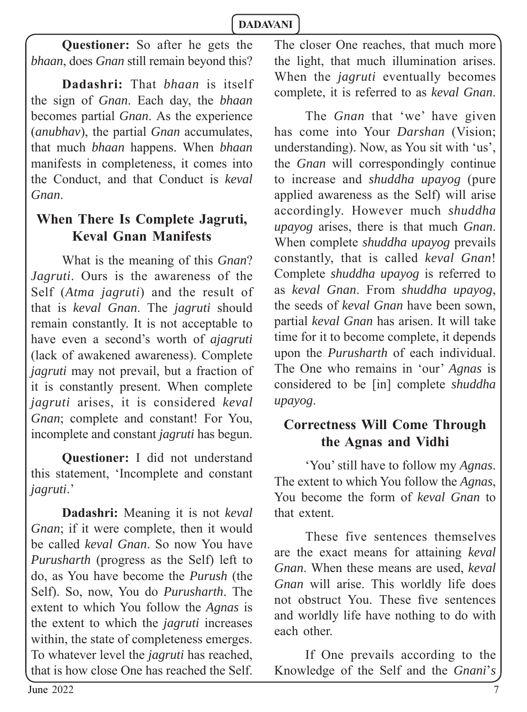**Questioner:** So after he gets the *bhaan*, does *Gnan* still remain beyond this?

**Dadashri:** That *bhaan* is itself the sign of *Gnan*. Each day, the *bhaan* becomes partial *Gnan*. As the experience (*anubhav*), the partial *Gnan* accumulates, that much *bhaan* happens. When *bhaan* manifests in completeness, it comes into the Conduct, and that Conduct is *keval Gnan*.

# **When There Is Complete Jagruti, Keval Gnan Manifests**

What is the meaning of this *Gnan*? *Jagruti*. Ours is the awareness of the Self (*Atma jagruti*) and the result of that is *keval Gnan*. The *jagruti* should remain constantly. It is not acceptable to have even a second's worth of *ajagruti* (lack of awakened awareness). Complete *jagruti* may not prevail, but a fraction of it is constantly present. When complete *jagruti* arises, it is considered *keval Gnan*; complete and constant! For You, incomplete and constant *jagruti* has begun.

**Questioner:** I did not understand this statement, 'Incomplete and constant *jagruti*.'

**Dadashri:** Meaning it is not *keval Gnan*; if it were complete, then it would be called *keval Gnan*. So now You have *Purusharth* (progress as the Self) left to do, as You have become the *Purush* (the Self). So, now, You do *Purusharth*. The extent to which You follow the *Agnas* is the extent to which the *jagruti* increases within, the state of completeness emerges. To whatever level the *jagruti* has reached, that is how close One has reached the Self.

The closer One reaches, that much more the light, that much illumination arises. When the *jagruti* eventually becomes complete, it is referred to as *keval Gnan*.

The *Gnan* that 'we' have given has come into Your *Darshan* (Vision; understanding). Now, as You sit with 'us', the *Gnan* will correspondingly continue to increase and *shuddha upayog* (pure applied awareness as the Self) will arise accordingly. However much *shuddha upayog* arises, there is that much *Gnan*. When complete *shuddha upayog* prevails constantly, that is called *keval Gnan*! Complete *shuddha upayog* is referred to as *keval Gnan*. From *shuddha upayog*, the seeds of *keval Gnan* have been sown, partial *keval Gnan* has arisen. It will take time for it to become complete, it depends upon the *Purusharth* of each individual. The One who remains in 'our' *Agnas* is considered to be [in] complete *shuddha upayog*.

# **Correctness Will Come Through the Agnas and Vidhi**

'You' still have to follow my *Agnas*. The extent to which You follow the *Agnas*, You become the form of *keval Gnan* to that extent.

These five sentences themselves are the exact means for attaining *keval Gnan*. When these means are used, *keval Gnan* will arise. This worldly life does not obstruct You. These five sentences and worldly life have nothing to do with each other.

If One prevails according to the Knowledge of the Self and the *Gnani*'*s*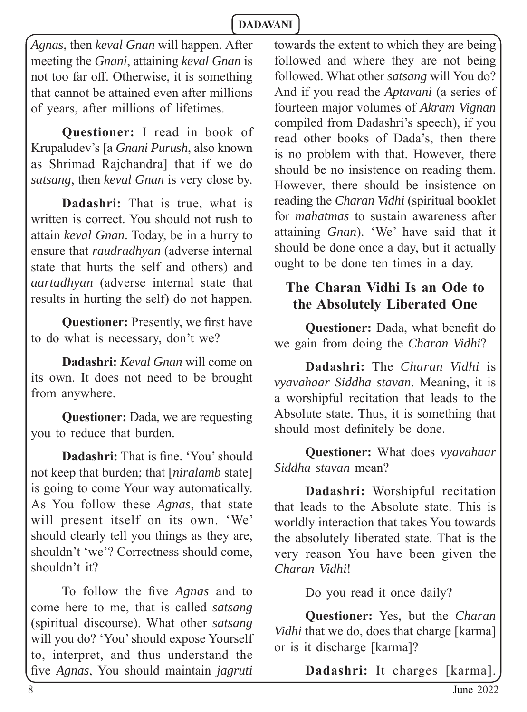*Agnas*, then *keval Gnan* will happen. After meeting the *Gnani*, attaining *keval Gnan* is not too far off. Otherwise, it is something that cannot be attained even after millions of years, after millions of lifetimes.

**Questioner:** I read in book of Krupaludev's [a *Gnani Purush*, also known as Shrimad Rajchandra] that if we do *satsang*, then *keval Gnan* is very close by.

**Dadashri:** That is true, what is written is correct. You should not rush to attain *keval Gnan*. Today, be in a hurry to ensure that *raudradhyan* (adverse internal state that hurts the self and others) and *aartadhyan* (adverse internal state that results in hurting the self) do not happen.

**Questioner:** Presently, we first have to do what is necessary, don't we?

**Dadashri:** *Keval Gnan* will come on its own. It does not need to be brought from anywhere.

**Questioner:** Dada, we are requesting you to reduce that burden.

**Dadashri:** That is fine. 'You' should not keep that burden; that [*niralamb* state] is going to come Your way automatically. As You follow these *Agnas*, that state will present itself on its own. 'We' should clearly tell you things as they are, shouldn't 'we'? Correctness should come, shouldn't it?

To follow the five *Agnas* and to come here to me, that is called *satsang* (spiritual discourse). What other *satsang*  will you do? 'You' should expose Yourself to, interpret, and thus understand the fi ve *Agnas*, You should maintain *jagruti*

towards the extent to which they are being followed and where they are not being followed. What other *satsang* will You do? And if you read the *Aptavani* (a series of fourteen major volumes of *Akram Vignan* compiled from Dadashri's speech), if you read other books of Dada's, then there is no problem with that. However, there should be no insistence on reading them. However, there should be insistence on reading the *Charan Vidhi* (spiritual booklet for *mahatmas* to sustain awareness after attaining *Gnan*). 'We' have said that it should be done once a day, but it actually ought to be done ten times in a day.

# **The Charan Vidhi Is an Ode to the Absolutely Liberated One**

**Questioner:** Dada, what benefit do we gain from doing the *Charan Vidhi*?

**Dadashri:** The *Charan Vidhi* is *vyavahaar Siddha stavan*. Meaning, it is a worshipful recitation that leads to the Absolute state. Thus, it is something that should most definitely be done.

**Questioner:** What does *vyavahaar Siddha stavan* mean?

**Dadashri:** Worshipful recitation that leads to the Absolute state. This is worldly interaction that takes You towards the absolutely liberated state. That is the very reason You have been given the *Charan Vidhi*!

Do you read it once daily?

**Questioner:** Yes, but the *Charan Vidhi* that we do, does that charge [karma] or is it discharge [karma]?

**Dadashri:** It charges [karma].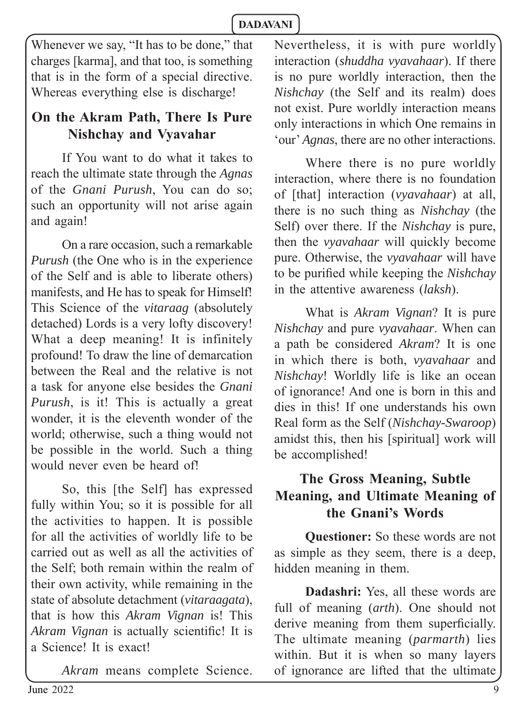Whenever we say, "It has to be done," that charges [karma], and that too, is something that is in the form of a special directive. Whereas everything else is discharge!

# **On the Akram Path, There Is Pure Nishchay and Vyavahar**

If You want to do what it takes to reach the ultimate state through the *Agnas* of the *Gnani Purush*, You can do so; such an opportunity will not arise again and again!

On a rare occasion, such a remarkable *Purush* (the One who is in the experience of the Self and is able to liberate others) manifests, and He has to speak for Himself! This Science of the *vitaraag* (absolutely detached) Lords is a very lofty discovery! What a deep meaning! It is infinitely profound! To draw the line of demarcation between the Real and the relative is not a task for anyone else besides the *Gnani Purush*, is it! This is actually a great wonder, it is the eleventh wonder of the world; otherwise, such a thing would not be possible in the world. Such a thing would never even be heard of!

So, this [the Self] has expressed fully within You; so it is possible for all the activities to happen. It is possible for all the activities of worldly life to be carried out as well as all the activities of the Self; both remain within the realm of their own activity, while remaining in the state of absolute detachment (*vitaraagata*), that is how this *Akram Vignan* is! This *Akram Vignan* is actually scientific! It is a Science! It is exact!

*Akram* means complete Science.

Nevertheless, it is with pure worldly interaction (*shuddha vyavahaar*). If there is no pure worldly interaction, then the *Nishchay* (the Self and its realm) does not exist. Pure worldly interaction means only interactions in which One remains in 'our' *Agnas*, there are no other interactions.

Where there is no pure worldly interaction, where there is no foundation of [that] interaction (*vyavahaar*) at all, there is no such thing as *Nishchay* (the Self) over there. If the *Nishchay* is pure, then the *vyavahaar* will quickly become pure. Otherwise, the *vyavahaar* will have to be purified while keeping the *Nishchay* in the attentive awareness (*laksh*).

What is *Akram Vignan*? It is pure *Nishchay* and pure *vyavahaar*. When can a path be considered *Akram*? It is one in which there is both, *vyavahaar* and *Nishchay*! Worldly life is like an ocean of ignorance! And one is born in this and dies in this! If one understands his own Real form as the Self (*Nishchay-Swaroop*) amidst this, then his [spiritual] work will be accomplished!

# **The Gross Meaning, Subtle Meaning, and Ultimate Meaning of the Gnani's Words**

**Questioner:** So these words are not as simple as they seem, there is a deep, hidden meaning in them.

**Dadashri:** Yes, all these words are full of meaning (*arth*). One should not derive meaning from them superficially. The ultimate meaning (*parmarth*) lies within. But it is when so many layers of ignorance are lifted that the ultimate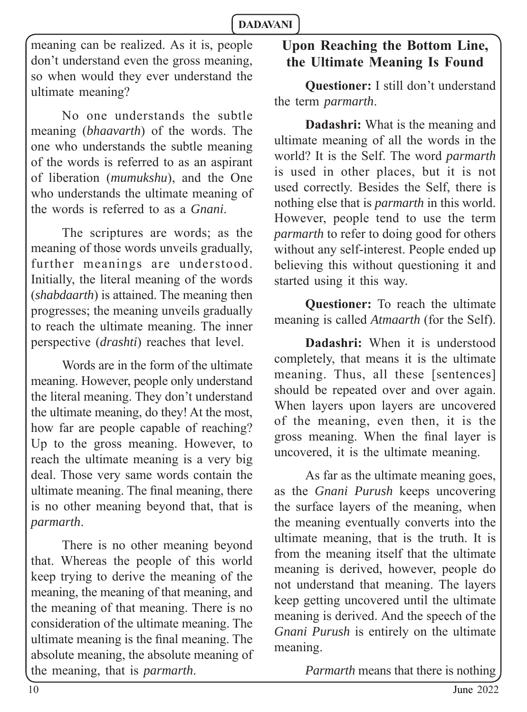meaning can be realized. As it is, people don't understand even the gross meaning, so when would they ever understand the ultimate meaning?

No one understands the subtle meaning (*bhaavarth*) of the words. The one who understands the subtle meaning of the words is referred to as an aspirant of liberation (*mumukshu*), and the One who understands the ultimate meaning of the words is referred to as a *Gnani*.

The scriptures are words; as the meaning of those words unveils gradually, further meanings are understood. Initially, the literal meaning of the words (*shabdaarth*) is attained. The meaning then progresses; the meaning unveils gradually to reach the ultimate meaning. The inner perspective (*drashti*) reaches that level.

Words are in the form of the ultimate meaning. However, people only understand the literal meaning. They don't understand the ultimate meaning, do they! At the most, how far are people capable of reaching? Up to the gross meaning. However, to reach the ultimate meaning is a very big deal. Those very same words contain the ultimate meaning. The final meaning, there is no other meaning beyond that, that is *parmarth*.

There is no other meaning beyond that. Whereas the people of this world keep trying to derive the meaning of the meaning, the meaning of that meaning, and the meaning of that meaning. There is no consideration of the ultimate meaning. The ultimate meaning is the final meaning. The absolute meaning, the absolute meaning of the meaning, that is *parmarth*.

# **Upon Reaching the Bottom Line, the Ultimate Meaning Is Found**

**Questioner:** I still don't understand the term *parmarth*.

**Dadashri:** What is the meaning and ultimate meaning of all the words in the world? It is the Self. The word *parmarth* is used in other places, but it is not used correctly. Besides the Self, there is nothing else that is *parmarth* in this world. However, people tend to use the term *parmarth* to refer to doing good for others without any self-interest. People ended up believing this without questioning it and started using it this way.

**Questioner:** To reach the ultimate meaning is called *Atmaarth* (for the Self).

**Dadashri:** When it is understood completely, that means it is the ultimate meaning. Thus, all these [sentences] should be repeated over and over again. When layers upon layers are uncovered of the meaning, even then, it is the gross meaning. When the final layer is uncovered, it is the ultimate meaning.

As far as the ultimate meaning goes, as the *Gnani Purush* keeps uncovering the surface layers of the meaning, when the meaning eventually converts into the ultimate meaning, that is the truth. It is from the meaning itself that the ultimate meaning is derived, however, people do not understand that meaning. The layers keep getting uncovered until the ultimate meaning is derived. And the speech of the *Gnani Purush* is entirely on the ultimate meaning.

*Parmarth* means that there is nothing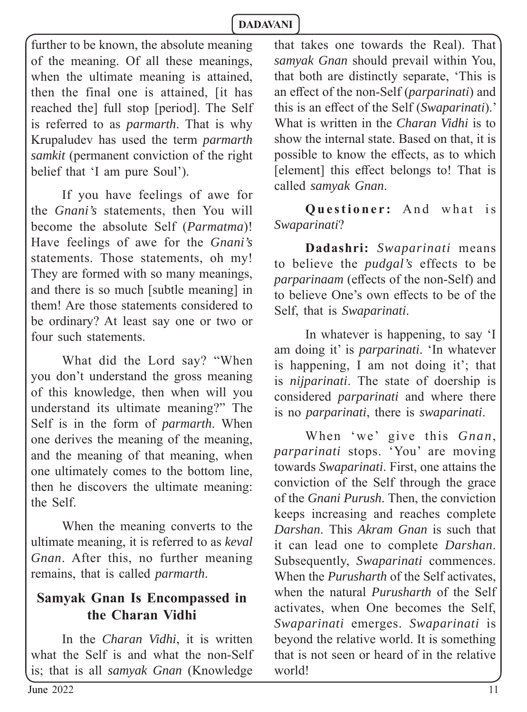further to be known, the absolute meaning of the meaning. Of all these meanings, when the ultimate meaning is attained, then the final one is attained, [it has reached the] full stop [period]. The Self is referred to as *parmarth*. That is why Krupaludev has used the term *parmarth samkit* (permanent conviction of the right belief that 'I am pure Soul').

If you have feelings of awe for the *Gnani's* statements, then You will become the absolute Self (*Parmatma*)! Have feelings of awe for the *Gnani's* statements. Those statements, oh my! They are formed with so many meanings, and there is so much [subtle meaning] in them! Are those statements considered to be ordinary? At least say one or two or four such statements.

What did the Lord say? "When you don't understand the gross meaning of this knowledge, then when will you understand its ultimate meaning?" The Self is in the form of *parmarth*. When one derives the meaning of the meaning, and the meaning of that meaning, when one ultimately comes to the bottom line, then he discovers the ultimate meaning: the Self.

When the meaning converts to the ultimate meaning, it is referred to as *keval Gnan*. After this, no further meaning remains, that is called *parmarth*.

# **Samyak Gnan Is Encompassed in the Charan Vidhi**

In the *Charan Vidhi*, it is written what the Self is and what the non-Self is; that is all *samyak Gnan* (Knowledge

that takes one towards the Real). That *samyak Gnan* should prevail within You, that both are distinctly separate, 'This is an effect of the non-Self (*parparinati*) and this is an effect of the Self (*Swaparinati*).' What is written in the *Charan Vidhi* is to show the internal state. Based on that, it is possible to know the effects, as to which [element] this effect belongs to! That is called *samyak Gnan*.

**Questioner:** And what is *Swaparinati*?

**Dadashri:** *Swaparinati* means to believe the *pudgal's* effects to be *parparinaam* (effects of the non-Self) and to believe One's own effects to be of the Self, that is *Swaparinati*.

In whatever is happening, to say 'I am doing it' is *parparinati*. 'In whatever is happening, I am not doing it'; that is *nijparinati*. The state of doership is considered *parparinati* and where there is no *parparinati*, there is *swaparinati*.

When 'we' give this *Gnan*, *parparinati* stops. 'You' are moving towards *Swaparinati*. First, one attains the conviction of the Self through the grace of the *Gnani Purush*. Then, the conviction keeps increasing and reaches complete *Darshan*. This *Akram Gnan* is such that it can lead one to complete *Darshan*. Subsequently, *Swaparinati* commences. When the *Purusharth* of the Self activates, when the natural *Purusharth* of the Self activates, when One becomes the Self, *Swaparinati* emerges. *Swaparinati* is beyond the relative world. It is something that is not seen or heard of in the relative world!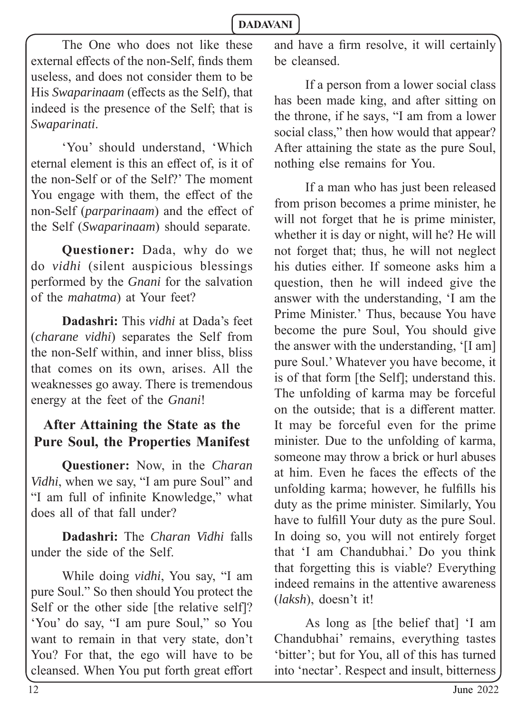The One who does not like these external effects of the non-Self, finds them useless, and does not consider them to be His *Swaparinaam* (effects as the Self), that indeed is the presence of the Self; that is *Swaparinati*.

'You' should understand, 'Which eternal element is this an effect of, is it of the non-Self or of the Self?' The moment You engage with them, the effect of the non-Self (*parparinaam*) and the effect of the Self (*Swaparinaam*) should separate.

**Questioner:** Dada, why do we do *vidhi* (silent auspicious blessings performed by the *Gnani* for the salvation of the *mahatma*) at Your feet?

**Dadashri:** This *vidhi* at Dada's feet (*charane vidhi*) separates the Self from the non-Self within, and inner bliss, bliss that comes on its own, arises. All the weaknesses go away. There is tremendous energy at the feet of the *Gnani*!

# **After Attaining the State as the Pure Soul, the Properties Manifest**

**Questioner:** Now, in the *Charan Vidhi*, when we say, "I am pure Soul" and "I am full of infinite Knowledge," what does all of that fall under?

**Dadashri:** The *Charan Vidhi* falls under the side of the Self.

While doing *vidhi*, You say, "I am pure Soul." So then should You protect the Self or the other side [the relative self]? 'You' do say, "I am pure Soul," so You want to remain in that very state, don't You? For that, the ego will have to be cleansed. When You put forth great effort and have a firm resolve, it will certainly be cleansed.

If a person from a lower social class has been made king, and after sitting on the throne, if he says, "I am from a lower social class," then how would that appear? After attaining the state as the pure Soul, nothing else remains for You.

If a man who has just been released from prison becomes a prime minister, he will not forget that he is prime minister, whether it is day or night, will he? He will not forget that; thus, he will not neglect his duties either. If someone asks him a question, then he will indeed give the answer with the understanding, 'I am the Prime Minister.' Thus, because You have become the pure Soul, You should give the answer with the understanding, '[I am] pure Soul.' Whatever you have become, it is of that form [the Self]; understand this. The unfolding of karma may be forceful on the outside; that is a different matter. It may be forceful even for the prime minister. Due to the unfolding of karma, someone may throw a brick or hurl abuses at him. Even he faces the effects of the unfolding karma; however, he fulfills his duty as the prime minister. Similarly, You have to fulfill Your duty as the pure Soul. In doing so, you will not entirely forget that 'I am Chandubhai.' Do you think that forgetting this is viable? Everything indeed remains in the attentive awareness (*laksh*), doesn't it!

As long as [the belief that] 'I am Chandubhai' remains, everything tastes 'bitter'; but for You, all of this has turned into 'nectar'. Respect and insult, bitterness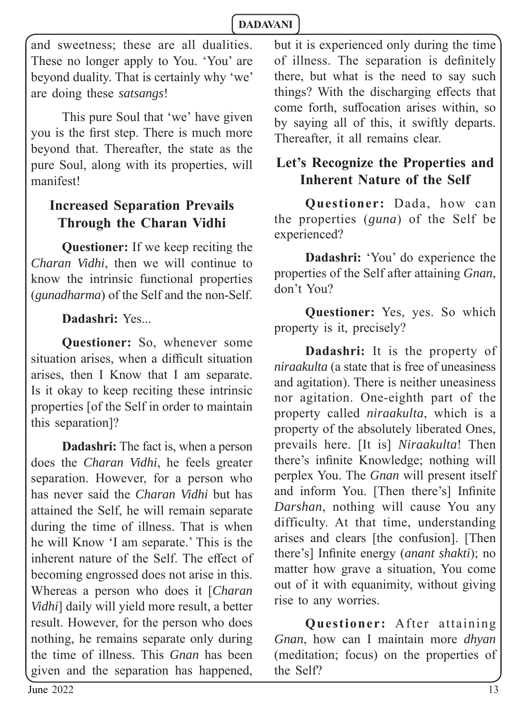and sweetness; these are all dualities. These no longer apply to You. 'You' are beyond duality. That is certainly why 'we' are doing these *satsangs*!

This pure Soul that 'we' have given you is the first step. There is much more beyond that. Thereafter, the state as the pure Soul, along with its properties, will manifest!

# **Increased Separation Prevails Through the Charan Vidhi**

**Questioner:** If we keep reciting the *Charan Vidhi*, then we will continue to know the intrinsic functional properties (*gunadharma*) of the Self and the non-Self.

### **Dadashri:** Yes...

**Questioner:** So, whenever some situation arises, when a difficult situation arises, then I Know that I am separate. Is it okay to keep reciting these intrinsic properties [of the Self in order to maintain this separation]?

**Dadashri:** The fact is, when a person does the *Charan Vidhi*, he feels greater separation. However, for a person who has never said the *Charan Vidhi* but has attained the Self, he will remain separate during the time of illness. That is when he will Know 'I am separate.' This is the inherent nature of the Self. The effect of becoming engrossed does not arise in this. Whereas a person who does it [*Charan Vidhi*] daily will yield more result, a better result. However, for the person who does nothing, he remains separate only during the time of illness. This *Gnan* has been given and the separation has happened,

but it is experienced only during the time of illness. The separation is definitely there, but what is the need to say such things? With the discharging effects that come forth, suffocation arises within, so by saying all of this, it swiftly departs. Thereafter, it all remains clear.

### **Let's Recognize the Properties and Inherent Nature of the Self**

**Questioner:** Dada, how can the properties (*guna*) of the Self be experienced?

**Dadashri:** 'You' do experience the properties of the Self after attaining *Gnan*, don't You?

**Questioner:** Yes, yes. So which property is it, precisely?

**Dadashri:** It is the property of *niraakulta* (a state that is free of uneasiness and agitation). There is neither uneasiness nor agitation. One-eighth part of the property called *niraakulta*, which is a property of the absolutely liberated Ones, prevails here. [It is] *Niraakulta*! Then there's infinite Knowledge; nothing will perplex You. The *Gnan* will present itself and inform You. [Then there's] Infinite *Darshan*, nothing will cause You any difficulty. At that time, understanding arises and clears [the confusion]. [Then there's] Infinite energy *(anant shakti)*; no matter how grave a situation, You come out of it with equanimity, without giving rise to any worries.

**Questioner:** After attaining *Gnan*, how can I maintain more *dhyan* (meditation; focus) on the properties of the Self?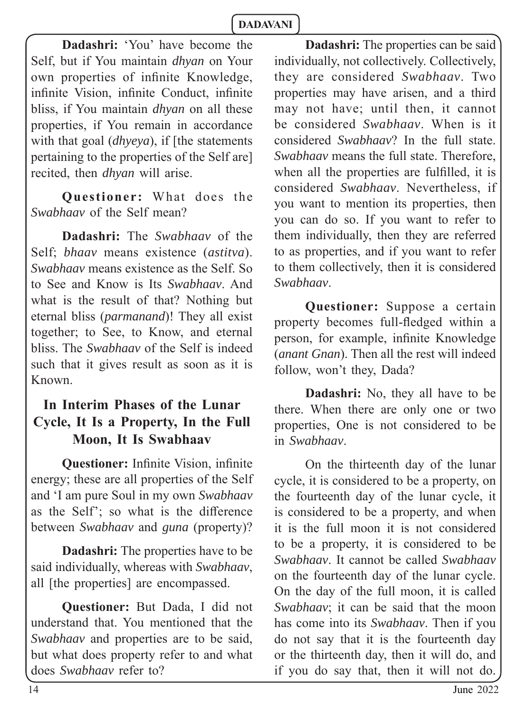**Dadashri:** 'You' have become the Self, but if You maintain *dhyan* on Your own properties of infinite Knowledge, infinite Vision, infinite Conduct, infinite bliss, if You maintain *dhyan* on all these properties, if You remain in accordance with that goal (*dhyeya*), if [the statements pertaining to the properties of the Self are] recited, then *dhyan* will arise.

**Questioner:** What does the *Swabhaav* of the Self mean?

**Dadashri:** The *Swabhaav* of the Self; *bhaav* means existence (*astitva*). *Swabhaav* means existence as the Self. So to See and Know is Its *Swabhaav*. And what is the result of that? Nothing but eternal bliss (*parmanand*)! They all exist together; to See, to Know, and eternal bliss. The *Swabhaav* of the Self is indeed such that it gives result as soon as it is Known.

# **In Interim Phases of the Lunar Cycle, It Is a Property, In the Full Moon, It Is Swabhaav**

**Questioner:** Infinite Vision, infinite energy; these are all properties of the Self and 'I am pure Soul in my own *Swabhaav*  as the Self'; so what is the difference between *Swabhaav* and *guna* (property)?

**Dadashri:** The properties have to be said individually, whereas with *Swabhaav*, all [the properties] are encompassed.

**Questioner:** But Dada, I did not understand that. You mentioned that the *Swabhaav* and properties are to be said, but what does property refer to and what does *Swabhaav* refer to?

**Dadashri:** The properties can be said individually, not collectively. Collectively, they are considered *Swabhaav*. Two properties may have arisen, and a third may not have; until then, it cannot be considered *Swabhaav*. When is it considered *Swabhaav*? In the full state. *Swabhaav* means the full state. Therefore, when all the properties are fulfilled, it is considered *Swabhaav*. Nevertheless, if you want to mention its properties, then you can do so. If you want to refer to them individually, then they are referred to as properties, and if you want to refer to them collectively, then it is considered *Swabhaav*.

**Questioner:** Suppose a certain property becomes full-fledged within a person, for example, infinite Knowledge (*anant Gnan*). Then all the rest will indeed follow, won't they, Dada?

**Dadashri:** No, they all have to be there. When there are only one or two properties, One is not considered to be in *Swabhaav*.

On the thirteenth day of the lunar cycle, it is considered to be a property, on the fourteenth day of the lunar cycle, it is considered to be a property, and when it is the full moon it is not considered to be a property, it is considered to be *Swabhaav*. It cannot be called *Swabhaav* on the fourteenth day of the lunar cycle. On the day of the full moon, it is called *Swabhaav*; it can be said that the moon has come into its *Swabhaav*. Then if you do not say that it is the fourteenth day or the thirteenth day, then it will do, and if you do say that, then it will not do.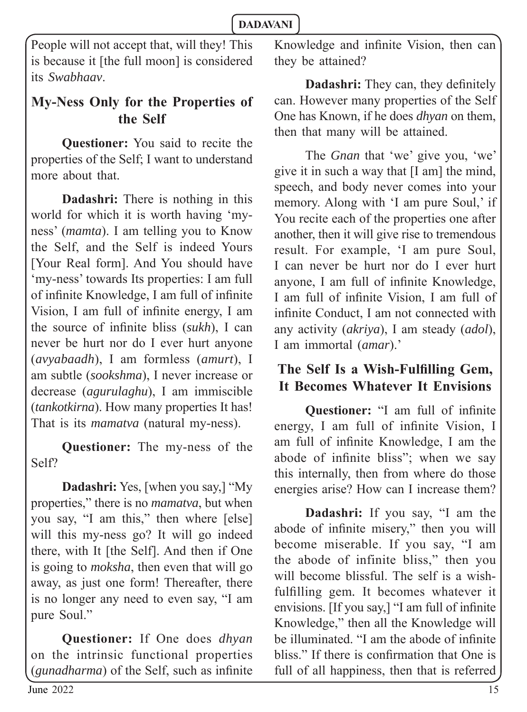People will not accept that, will they! This is because it [the full moon] is considered its *Swabhaav*.

# **My-Ness Only for the Properties of the Self**

**Questioner:** You said to recite the properties of the Self; I want to understand more about that.

**Dadashri:** There is nothing in this world for which it is worth having 'myness' (*mamta*). I am telling you to Know the Self, and the Self is indeed Yours [Your Real form]. And You should have 'my-ness' towards Its properties: I am full of infinite Knowledge, I am full of infinite Vision, I am full of infinite energy, I am the source of infinite bliss (*sukh*), I can never be hurt nor do I ever hurt anyone (*avyabaadh*), I am formless (*amurt*), I am subtle (*sookshma*), I never increase or decrease (*agurulaghu*), I am immiscible (*tankotkirna*). How many properties It has! That is its *mamatva* (natural my-ness).

**Questioner:** The my-ness of the Self?

**Dadashri:** Yes, [when you say,] "My properties," there is no *mamatva*, but when you say, "I am this," then where [else] will this my-ness go? It will go indeed there, with It [the Self]. And then if One is going to *moksha*, then even that will go away, as just one form! Thereafter, there is no longer any need to even say, "I am pure Soul."

**Questioner:** If One does *dhyan* on the intrinsic functional properties (*gunadharma*) of the Self, such as infinite Knowledge and infinite Vision, then can they be attained?

**Dadashri:** They can, they definitely can. However many properties of the Self One has Known, if he does *dhyan* on them, then that many will be attained.

The *Gnan* that 'we' give you, 'we' give it in such a way that [I am] the mind, speech, and body never comes into your memory. Along with 'I am pure Soul,' if You recite each of the properties one after another, then it will give rise to tremendous result. For example, 'I am pure Soul, I can never be hurt nor do I ever hurt anyone, I am full of infinite Knowledge, I am full of infinite Vision, I am full of infinite Conduct, I am not connected with any activity (*akriya*), I am steady (*adol*), I am immortal (*amar*).'

# The Self Is a Wish-Fulfilling Gem, **It Becomes Whatever It Envisions**

**Questioner:** "I am full of infinite energy, I am full of infinite Vision, I am full of infinite Knowledge, I am the abode of infinite bliss"; when we say this internally, then from where do those energies arise? How can I increase them?

**Dadashri:** If you say, "I am the abode of infinite misery," then you will become miserable. If you say, "I am the abode of infinite bliss," then you will become blissful. The self is a wishfulfilling gem. It becomes whatever it envisions. [If you say,] "I am full of infinite Knowledge," then all the Knowledge will be illuminated. "I am the abode of infinite bliss." If there is confirmation that One is full of all happiness, then that is referred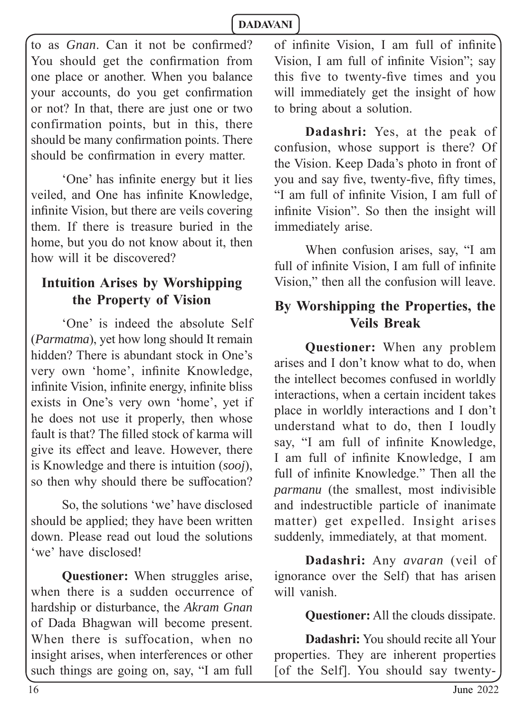to as *Gnan*. Can it not be confirmed? You should get the confirmation from one place or another. When you balance your accounts, do you get confirmation or not? In that, there are just one or two confirmation points, but in this, there should be many confirmation points. There should be confirmation in every matter.

'One' has infinite energy but it lies veiled, and One has infinite Knowledge, infinite Vision, but there are veils covering them. If there is treasure buried in the home, but you do not know about it, then how will it be discovered?

### **Intuition Arises by Worshipping the Property of Vision**

'One' is indeed the absolute Self (*Parmatma*), yet how long should It remain hidden? There is abundant stock in One's very own 'home', infinite Knowledge, infinite Vision, infinite energy, infinite bliss exists in One's very own 'home', yet if he does not use it properly, then whose fault is that? The filled stock of karma will give its effect and leave. However, there is Knowledge and there is intuition (*sooj*), so then why should there be suffocation?

So, the solutions 'we' have disclosed should be applied; they have been written down. Please read out loud the solutions 'we' have disclosed!

**Questioner:** When struggles arise, when there is a sudden occurrence of hardship or disturbance, the *Akram Gnan* of Dada Bhagwan will become present. When there is suffocation, when no insight arises, when interferences or other such things are going on, say, "I am full

of infinite Vision. I am full of infinite Vision, I am full of infinite Vision"; say this five to twenty-five times and you will immediately get the insight of how to bring about a solution.

**Dadashri:** Yes, at the peak of confusion, whose support is there? Of the Vision. Keep Dada's photo in front of you and say five, twenty-five, fifty times, "I am full of infinite Vision, I am full of infinite Vision". So then the insight will immediately arise.

When confusion arises, say, "I am full of infinite Vision. I am full of infinite Vision," then all the confusion will leave.

# **By Worshipping the Properties, the Veils Break**

**Questioner:** When any problem arises and I don't know what to do, when the intellect becomes confused in worldly interactions, when a certain incident takes place in worldly interactions and I don't understand what to do, then I loudly say, "I am full of infinite Knowledge, I am full of infinite Knowledge, I am full of infinite Knowledge." Then all the *parmanu* (the smallest, most indivisible and indestructible particle of inanimate matter) get expelled. Insight arises suddenly, immediately, at that moment.

**Dadashri:** Any *avaran* (veil of ignorance over the Self) that has arisen will vanish.

**Questioner:** All the clouds dissipate.

**Dadashri:** You should recite all Your properties. They are inherent properties [of the Self]. You should say twenty-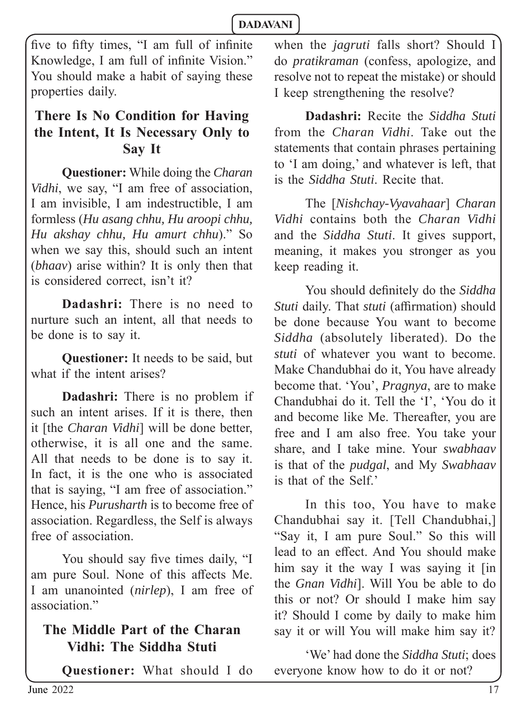five to fifty times, "I am full of infinite Knowledge, I am full of infinite Vision." You should make a habit of saying these properties daily.

# **There Is No Condition for Having the Intent, It Is Necessary Only to Say It**

**Questioner:** While doing the *Charan Vidhi*, we say, "I am free of association, I am invisible, I am indestructible, I am formless (*Hu asang chhu, Hu aroopi chhu, Hu akshay chhu, Hu amurt chhu*)." So when we say this, should such an intent (*bhaav*) arise within? It is only then that is considered correct, isn't it?

**Dadashri:** There is no need to nurture such an intent, all that needs to be done is to say it.

**Questioner:** It needs to be said, but what if the intent arises?

**Dadashri:** There is no problem if such an intent arises. If it is there, then it [the *Charan Vidhi*] will be done better, otherwise, it is all one and the same. All that needs to be done is to say it. In fact, it is the one who is associated that is saying, "I am free of association." Hence, his *Purusharth* is to become free of association. Regardless, the Self is always free of association.

You should say five times daily, "I am pure Soul. None of this affects Me. I am unanointed (*nirlep*), I am free of association"

# **The Middle Part of the Charan Vidhi: The Siddha Stuti**

**Questioner:** What should I do

when the *jagruti* falls short? Should I do *pratikraman* (confess, apologize, and resolve not to repeat the mistake) or should I keep strengthening the resolve?

**Dadashri:** Recite the *Siddha Stuti* from the *Charan Vidhi*. Take out the statements that contain phrases pertaining to 'I am doing,' and whatever is left, that is the *Siddha Stuti*. Recite that.

The [*Nishchay-Vyavahaar*] *Charan Vidhi* contains both the *Charan Vidhi* and the *Siddha Stuti*. It gives support, meaning, it makes you stronger as you keep reading it.

You should definitely do the *Siddha Stuti* daily. That *stuti* (affirmation) should be done because You want to become *Siddha* (absolutely liberated). Do the *stuti* of whatever you want to become. Make Chandubhai do it, You have already become that. 'You', *Pragnya*, are to make Chandubhai do it. Tell the 'I', 'You do it and become like Me. Thereafter, you are free and I am also free. You take your share, and I take mine. Your *swabhaav* is that of the *pudgal*, and My *Swabhaav* is that of the Self.'

In this too, You have to make Chandubhai say it. [Tell Chandubhai,] "Say it, I am pure Soul." So this will lead to an effect. And You should make him say it the way I was saying it [in the *Gnan Vidhi*]. Will You be able to do this or not? Or should I make him say it? Should I come by daily to make him say it or will You will make him say it?

'We' had done the *Siddha Stuti*; does everyone know how to do it or not?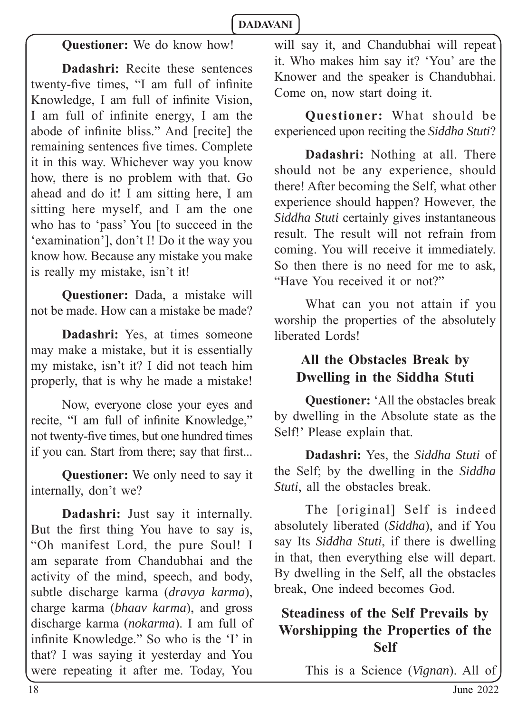# **Questioner:** We do know how!

**Dadashri:** Recite these sentences twenty-five times, "I am full of infinite Knowledge, I am full of infinite Vision, I am full of infinite energy, I am the abode of infinite bliss." And [recite] the remaining sentences five times. Complete it in this way. Whichever way you know how, there is no problem with that. Go ahead and do it! I am sitting here, I am sitting here myself, and I am the one who has to 'pass' You [to succeed in the 'examination'], don't I! Do it the way you know how. Because any mistake you make is really my mistake, isn't it!

**Questioner:** Dada, a mistake will not be made. How can a mistake be made?

**Dadashri:** Yes, at times someone may make a mistake, but it is essentially my mistake, isn't it? I did not teach him properly, that is why he made a mistake!

Now, everyone close your eyes and recite, "I am full of infinite Knowledge," not twenty-five times, but one hundred times if you can. Start from there; say that first...

**Questioner:** We only need to say it internally, don't we?

**Dadashri:** Just say it internally. But the first thing You have to say is, "Oh manifest Lord, the pure Soul! I am separate from Chandubhai and the activity of the mind, speech, and body, subtle discharge karma (*dravya karma*), charge karma (*bhaav karma*), and gross discharge karma (*nokarma*). I am full of infinite Knowledge." So who is the 'I' in that? I was saying it yesterday and You were repeating it after me. Today, You will say it, and Chandubhai will repeat it. Who makes him say it? 'You' are the Knower and the speaker is Chandubhai. Come on, now start doing it.

**Questioner:** What should be experienced upon reciting the *Siddha Stuti*?

**Dadashri:** Nothing at all. There should not be any experience, should there! After becoming the Self, what other experience should happen? However, the *Siddha Stuti* certainly gives instantaneous result. The result will not refrain from coming. You will receive it immediately. So then there is no need for me to ask, "Have You received it or not?"

What can you not attain if you worship the properties of the absolutely liberated Lords!

# **All the Obstacles Break by Dwelling in the Siddha Stuti**

**Questioner:** 'All the obstacles break by dwelling in the Absolute state as the Self!' Please explain that.

**Dadashri:** Yes, the *Siddha Stuti* of the Self; by the dwelling in the *Siddha Stuti*, all the obstacles break.

The [original] Self is indeed absolutely liberated (*Siddha*), and if You say Its *Siddha Stuti*, if there is dwelling in that, then everything else will depart. By dwelling in the Self, all the obstacles break, One indeed becomes God.

# **Steadiness of the Self Prevails by Worshipping the Properties of the Self**

This is a Science (*Vignan*). All of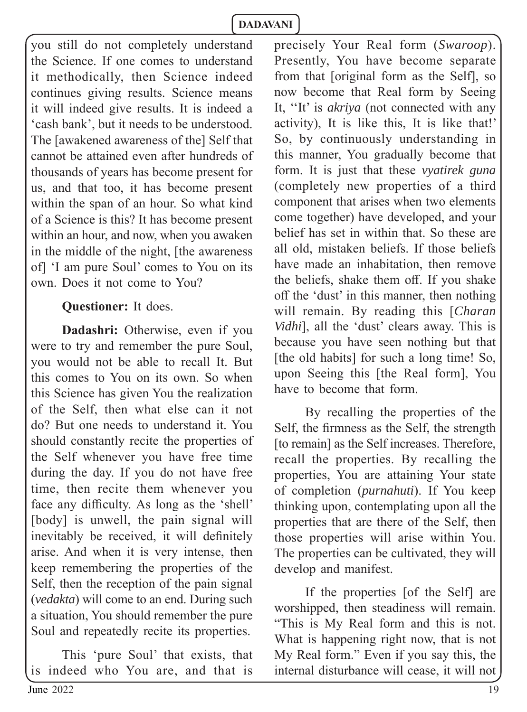you still do not completely understand the Science. If one comes to understand it methodically, then Science indeed continues giving results. Science means it will indeed give results. It is indeed a 'cash bank', but it needs to be understood. The [awakened awareness of the] Self that cannot be attained even after hundreds of thousands of years has become present for us, and that too, it has become present within the span of an hour. So what kind of a Science is this? It has become present within an hour, and now, when you awaken in the middle of the night, [the awareness of] 'I am pure Soul' comes to You on its own. Does it not come to You?

### **Questioner:** It does.

**Dadashri:** Otherwise, even if you were to try and remember the pure Soul, you would not be able to recall It. But this comes to You on its own. So when this Science has given You the realization of the Self, then what else can it not do? But one needs to understand it. You should constantly recite the properties of the Self whenever you have free time during the day. If you do not have free time, then recite them whenever you face any difficulty. As long as the 'shell' [body] is unwell, the pain signal will inevitably be received, it will definitely arise. And when it is very intense, then keep remembering the properties of the Self, then the reception of the pain signal (*vedakta*) will come to an end. During such a situation, You should remember the pure Soul and repeatedly recite its properties.

This 'pure Soul' that exists, that is indeed who You are, and that is

precisely Your Real form (*Swaroop*). Presently, You have become separate from that [original form as the Self], so now become that Real form by Seeing It, ''It' is *akriya* (not connected with any activity), It is like this, It is like that!' So, by continuously understanding in this manner, You gradually become that form. It is just that these *vyatirek guna*  (completely new properties of a third component that arises when two elements come together) have developed, and your belief has set in within that. So these are all old, mistaken beliefs. If those beliefs have made an inhabitation, then remove the beliefs, shake them off. If you shake off the 'dust' in this manner, then nothing will remain. By reading this [*Charan Vidhi*], all the 'dust' clears away. This is because you have seen nothing but that [the old habits] for such a long time! So, upon Seeing this [the Real form], You have to become that form.

By recalling the properties of the Self, the firmness as the Self, the strength [to remain] as the Self increases. Therefore, recall the properties. By recalling the properties, You are attaining Your state of completion (*purnahuti*). If You keep thinking upon, contemplating upon all the properties that are there of the Self, then those properties will arise within You. The properties can be cultivated, they will develop and manifest.

If the properties [of the Self] are worshipped, then steadiness will remain. "This is My Real form and this is not. What is happening right now, that is not My Real form." Even if you say this, the internal disturbance will cease, it will not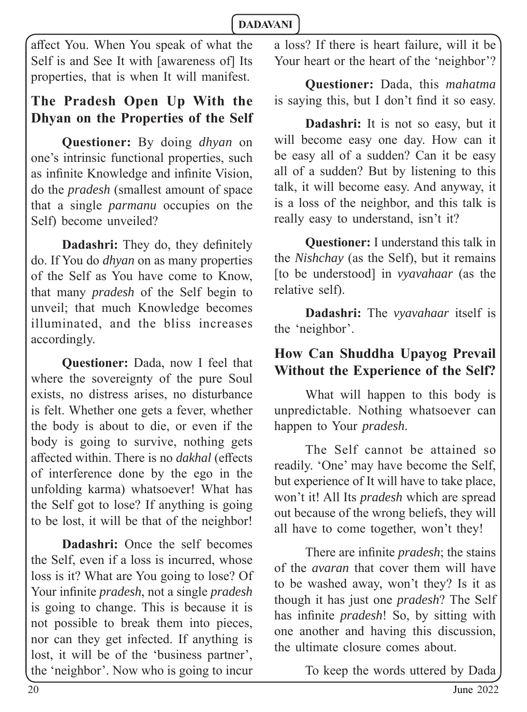affect You. When You speak of what the Self is and See It with [awareness of] Its properties, that is when It will manifest.

# **The Pradesh Open Up With the Dhyan on the Properties of the Self**

**Questioner:** By doing *dhyan* on one's intrinsic functional properties, such as infinite Knowledge and infinite Vision, do the *pradesh* (smallest amount of space that a single *parmanu* occupies on the Self) become unveiled?

**Dadashri:** They do, they definitely do. If You do *dhyan* on as many properties of the Self as You have come to Know, that many *pradesh* of the Self begin to unveil; that much Knowledge becomes illuminated, and the bliss increases accordingly.

**Questioner:** Dada, now I feel that where the sovereignty of the pure Soul exists, no distress arises, no disturbance is felt. Whether one gets a fever, whether the body is about to die, or even if the body is going to survive, nothing gets affected within. There is no *dakhal* (effects) of interference done by the ego in the unfolding karma) whatsoever! What has the Self got to lose? If anything is going to be lost, it will be that of the neighbor!

**Dadashri:** Once the self becomes the Self, even if a loss is incurred, whose loss is it? What are You going to lose? Of Your infinite *pradesh*, not a single *pradesh* is going to change. This is because it is not possible to break them into pieces, nor can they get infected. If anything is lost, it will be of the 'business partner', the 'neighbor'. Now who is going to incur

a loss? If there is heart failure, will it be Your heart or the heart of the 'neighbor'?

**Questioner:** Dada, this *mahatma* is saying this, but I don't find it so easy.

**Dadashri:** It is not so easy, but it will become easy one day. How can it be easy all of a sudden? Can it be easy all of a sudden? But by listening to this talk, it will become easy. And anyway, it is a loss of the neighbor, and this talk is really easy to understand, isn't it?

**Questioner:** I understand this talk in the *Nishchay* (as the Self), but it remains [to be understood] in *vyavahaar* (as the relative self).

**Dadashri:** The *vyavahaar* itself is the 'neighbor'.

# **How Can Shuddha Upayog Prevail Without the Experience of the Self?**

What will happen to this body is unpredictable. Nothing whatsoever can happen to Your *pradesh*.

The Self cannot be attained so readily. 'One' may have become the Self, but experience of It will have to take place, won't it! All Its *pradesh* which are spread out because of the wrong beliefs, they will all have to come together, won't they!

There are infinite *pradesh*; the stains of the *avaran* that cover them will have to be washed away, won't they? Is it as though it has just one *pradesh*? The Self has infinite *pradesh*! So, by sitting with one another and having this discussion, the ultimate closure comes about.

To keep the words uttered by Dada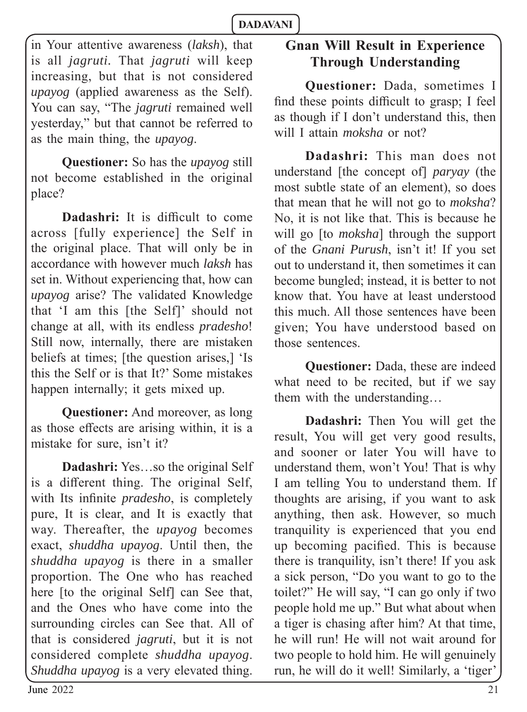in Your attentive awareness (*laksh*), that is all *jagruti.* That *jagruti* will keep increasing, but that is not considered *upayog* (applied awareness as the Self). You can say, "The *jagruti* remained well yesterday," but that cannot be referred to as the main thing, the *upayog*.

**Questioner:** So has the *upayog* still not become established in the original place?

**Dadashri:** It is difficult to come across [fully experience] the Self in the original place. That will only be in accordance with however much *laksh* has set in. Without experiencing that, how can *upayog* arise? The validated Knowledge that 'I am this [the Self]' should not change at all, with its endless *pradesho*! Still now, internally, there are mistaken beliefs at times; [the question arises,] 'Is this the Self or is that It?' Some mistakes happen internally; it gets mixed up.

**Questioner:** And moreover, as long as those effects are arising within, it is a mistake for sure, isn't it?

**Dadashri:** Yes…so the original Self is a different thing. The original Self, with Its infinite *pradesho*, is completely pure, It is clear, and It is exactly that way. Thereafter, the *upayog* becomes exact, *shuddha upayog*. Until then, the *shuddha upayog* is there in a smaller proportion. The One who has reached here [to the original Self] can See that, and the Ones who have come into the surrounding circles can See that. All of that is considered *jagruti*, but it is not considered complete *shuddha upayog*. *Shuddha upayog* is a very elevated thing.

# **Gnan Will Result in Experience Through Understanding**

**Questioner:** Dada, sometimes I find these points difficult to grasp; I feel as though if I don't understand this, then will I attain *moksha* or not?

**Dadashri:** This man does not understand [the concept of] *paryay* (the most subtle state of an element), so does that mean that he will not go to *moksha*? No, it is not like that. This is because he will go [to *moksha*] through the support of the *Gnani Purush*, isn't it! If you set out to understand it, then sometimes it can become bungled; instead, it is better to not know that. You have at least understood this much. All those sentences have been given; You have understood based on those sentences.

**Questioner:** Dada, these are indeed what need to be recited, but if we say them with the understanding…

**Dadashri:** Then You will get the result, You will get very good results, and sooner or later You will have to understand them, won't You! That is why I am telling You to understand them. If thoughts are arising, if you want to ask anything, then ask. However, so much tranquility is experienced that you end up becoming pacified. This is because there is tranquility, isn't there! If you ask a sick person, "Do you want to go to the toilet?" He will say, "I can go only if two people hold me up." But what about when a tiger is chasing after him? At that time, he will run! He will not wait around for two people to hold him. He will genuinely run, he will do it well! Similarly, a 'tiger'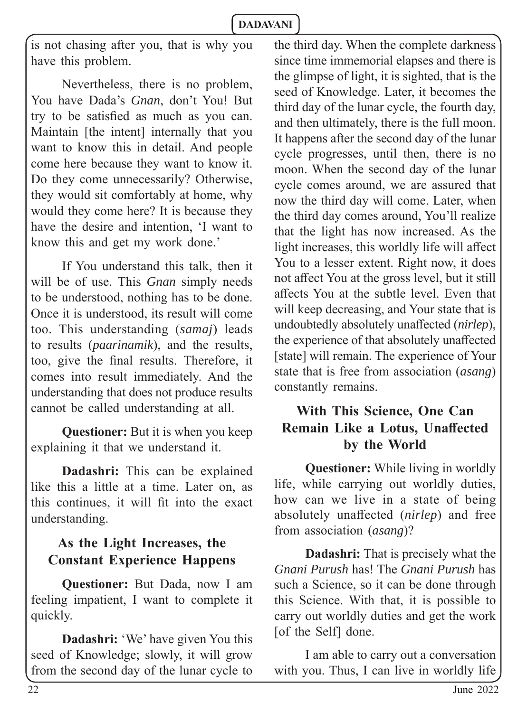is not chasing after you, that is why you have this problem.

Nevertheless, there is no problem, You have Dada's *Gnan*, don't You! But try to be satisfied as much as you can. Maintain [the intent] internally that you want to know this in detail. And people come here because they want to know it. Do they come unnecessarily? Otherwise, they would sit comfortably at home, why would they come here? It is because they have the desire and intention, 'I want to know this and get my work done.'

If You understand this talk, then it will be of use. This *Gnan* simply needs to be understood, nothing has to be done. Once it is understood, its result will come too. This understanding (*samaj*) leads to results (*paarinamik*), and the results, too, give the final results. Therefore, it comes into result immediately. And the understanding that does not produce results cannot be called understanding at all.

**Questioner:** But it is when you keep explaining it that we understand it.

**Dadashri:** This can be explained like this a little at a time. Later on, as this continues, it will fit into the exact understanding.

# **As the Light Increases, the Constant Experience Happens**

**Questioner:** But Dada, now I am feeling impatient, I want to complete it quickly.

**Dadashri:** 'We' have given You this seed of Knowledge; slowly, it will grow from the second day of the lunar cycle to the third day. When the complete darkness since time immemorial elapses and there is the glimpse of light, it is sighted, that is the seed of Knowledge. Later, it becomes the third day of the lunar cycle, the fourth day, and then ultimately, there is the full moon. It happens after the second day of the lunar cycle progresses, until then, there is no moon. When the second day of the lunar cycle comes around, we are assured that now the third day will come. Later, when the third day comes around, You'll realize that the light has now increased. As the light increases, this worldly life will affect You to a lesser extent. Right now, it does not affect You at the gross level, but it still aff ects You at the subtle level. Even that will keep decreasing, and Your state that is undoubtedly absolutely unaffected (*nirlep*), the experience of that absolutely unaffected [state] will remain. The experience of Your state that is free from association (*asang*) constantly remains.

### **With This Science, One Can Remain Like a Lotus, Unaffected by the World**

**Questioner:** While living in worldly life, while carrying out worldly duties, how can we live in a state of being absolutely unaffected *(nirlep)* and free from association (*asang*)?

**Dadashri:** That is precisely what the *Gnani Purush* has! The *Gnani Purush* has such a Science, so it can be done through this Science. With that, it is possible to carry out worldly duties and get the work [of the Self] done.

I am able to carry out a conversation with you. Thus, I can live in worldly life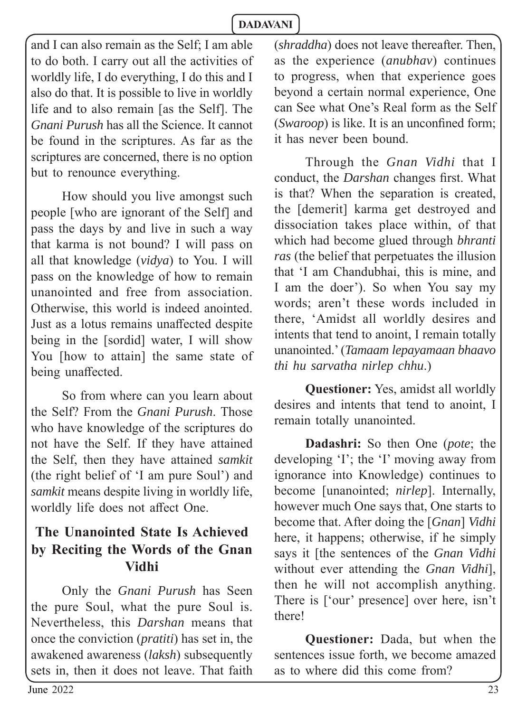and I can also remain as the Self; I am able to do both. I carry out all the activities of worldly life, I do everything, I do this and I also do that. It is possible to live in worldly life and to also remain [as the Self]. The *Gnani Purush* has all the Science. It cannot be found in the scriptures. As far as the scriptures are concerned, there is no option but to renounce everything.

How should you live amongst such people [who are ignorant of the Self] and pass the days by and live in such a way that karma is not bound? I will pass on all that knowledge (*vidya*) to You. I will pass on the knowledge of how to remain unanointed and free from association. Otherwise, this world is indeed anointed. Just as a lotus remains unaffected despite being in the [sordid] water, I will show You [how to attain] the same state of being unaffected.

So from where can you learn about the Self? From the *Gnani Purush*. Those who have knowledge of the scriptures do not have the Self. If they have attained the Self, then they have attained *samkit* (the right belief of 'I am pure Soul') and *samkit* means despite living in worldly life, worldly life does not affect One.

### **The Unanointed State Is Achieved by Reciting the Words of the Gnan Vidhi**

Only the *Gnani Purush* has Seen the pure Soul, what the pure Soul is. Nevertheless, this *Darshan* means that once the conviction (*pratiti*) has set in, the awakened awareness (*laksh*) subsequently sets in, then it does not leave. That faith

(*shraddha*) does not leave thereafter. Then, as the experience (*anubhav*) continues to progress, when that experience goes beyond a certain normal experience, One can See what One's Real form as the Self *(Swaroon)* is like. It is an unconfined form: it has never been bound.

Through the *Gnan Vidhi* that I conduct, the *Darshan* changes first. What is that? When the separation is created, the [demerit] karma get destroyed and dissociation takes place within, of that which had become glued through *bhranti ras* (the belief that perpetuates the illusion that 'I am Chandubhai, this is mine, and I am the doer'). So when You say my words; aren't these words included in there, 'Amidst all worldly desires and intents that tend to anoint, I remain totally unanointed.' (*Tamaam lepayamaan bhaavo thi hu sarvatha nirlep chhu*.)

**Questioner:** Yes, amidst all worldly desires and intents that tend to anoint, I remain totally unanointed.

**Dadashri:** So then One (*pote*; the developing 'I'; the 'I' moving away from ignorance into Knowledge) continues to become [unanointed; *nirlep*]. Internally, however much One says that, One starts to become that. After doing the [*Gnan*] *Vidhi* here, it happens; otherwise, if he simply says it [the sentences of the *Gnan Vidhi*  without ever attending the *Gnan Vidhi*], then he will not accomplish anything. There is ['our' presence] over here, isn't there!

**Questioner:** Dada, but when the sentences issue forth, we become amazed as to where did this come from?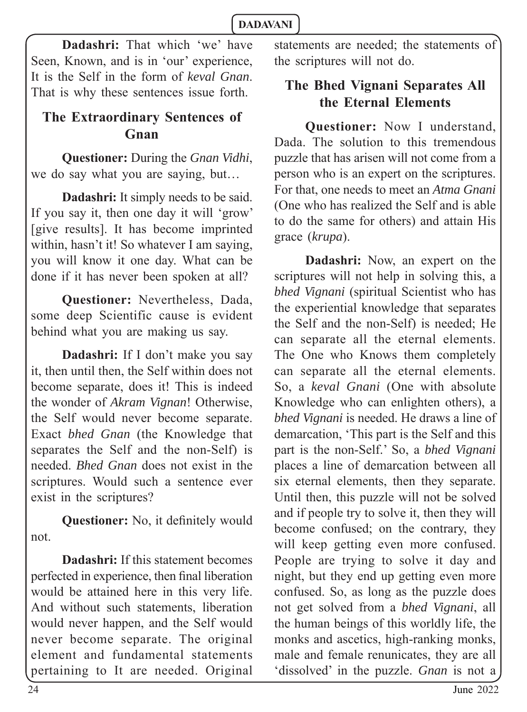**Dadashri:** That which 'we' have Seen, Known, and is in 'our' experience, It is the Self in the form of *keval Gnan*. That is why these sentences issue forth.

# **The Extraordinary Sentences of Gnan**

**Questioner:** During the *Gnan Vidhi*, we do say what you are saying, but…

**Dadashri:** It simply needs to be said. If you say it, then one day it will 'grow' [give results]. It has become imprinted within, hasn't it! So whatever I am saying, you will know it one day. What can be done if it has never been spoken at all?

**Questioner:** Nevertheless, Dada, some deep Scientific cause is evident behind what you are making us say.

**Dadashri:** If I don't make you say it, then until then, the Self within does not become separate, does it! This is indeed the wonder of *Akram Vignan*! Otherwise, the Self would never become separate. Exact *bhed Gnan* (the Knowledge that separates the Self and the non-Self) is needed. *Bhed Gnan* does not exist in the scriptures. Would such a sentence ever exist in the scriptures?

**Questioner:** No, it definitely would not.

**Dadashri:** If this statement becomes perfected in experience, then final liberation would be attained here in this very life. And without such statements, liberation would never happen, and the Self would never become separate. The original element and fundamental statements pertaining to It are needed. Original

statements are needed; the statements of the scriptures will not do.

# **The Bhed Vignani Separates All the Eternal Elements**

**Questioner:** Now I understand, Dada. The solution to this tremendous puzzle that has arisen will not come from a person who is an expert on the scriptures. For that, one needs to meet an *Atma Gnani* (One who has realized the Self and is able to do the same for others) and attain His grace (*krupa*).

**Dadashri:** Now, an expert on the scriptures will not help in solving this, a *bhed Vignani* (spiritual Scientist who has the experiential knowledge that separates the Self and the non-Self) is needed; He can separate all the eternal elements. The One who Knows them completely can separate all the eternal elements. So, a *keval Gnani* (One with absolute Knowledge who can enlighten others), a *bhed Vignani* is needed. He draws a line of demarcation, 'This part is the Self and this part is the non-Self.' So, a *bhed Vignani* places a line of demarcation between all six eternal elements, then they separate. Until then, this puzzle will not be solved and if people try to solve it, then they will become confused; on the contrary, they will keep getting even more confused. People are trying to solve it day and night, but they end up getting even more confused. So, as long as the puzzle does not get solved from a *bhed Vignani*, all the human beings of this worldly life, the monks and ascetics, high-ranking monks, male and female renunicates, they are all 'dissolved' in the puzzle. *Gnan* is not a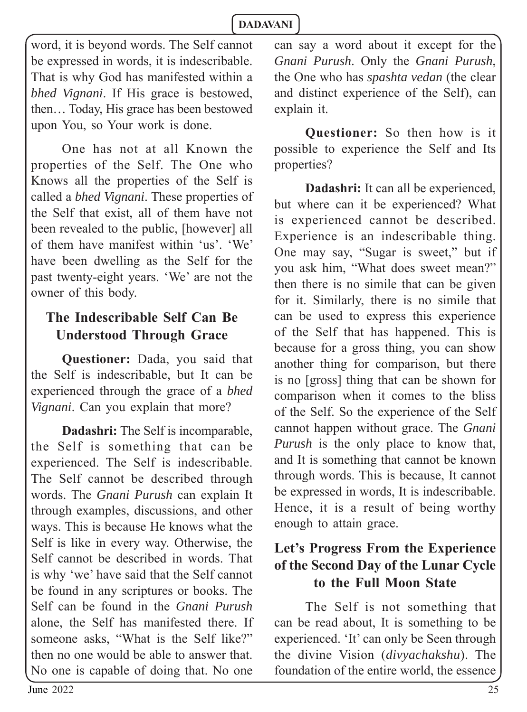word, it is beyond words. The Self cannot be expressed in words, it is indescribable. That is why God has manifested within a *bhed Vignani*. If His grace is bestowed, then… Today, His grace has been bestowed upon You, so Your work is done.

One has not at all Known the properties of the Self. The One who Knows all the properties of the Self is called a *bhed Vignani*. These properties of the Self that exist, all of them have not been revealed to the public, [however] all of them have manifest within 'us'. 'We' have been dwelling as the Self for the past twenty-eight years. 'We' are not the owner of this body.

### **The Indescribable Self Can Be Understood Through Grace**

**Questioner:** Dada, you said that the Self is indescribable, but It can be experienced through the grace of a *bhed Vignani*. Can you explain that more?

**Dadashri:** The Self is incomparable, the Self is something that can be experienced. The Self is indescribable. The Self cannot be described through words. The *Gnani Purush* can explain It through examples, discussions, and other ways. This is because He knows what the Self is like in every way. Otherwise, the Self cannot be described in words. That is why 'we' have said that the Self cannot be found in any scriptures or books. The Self can be found in the *Gnani Purush* alone, the Self has manifested there. If someone asks, "What is the Self like?" then no one would be able to answer that. No one is capable of doing that. No one

can say a word about it except for the *Gnani Purush*. Only the *Gnani Purush*, the One who has *spashta vedan* (the clear and distinct experience of the Self), can explain it.

**Questioner:** So then how is it possible to experience the Self and Its properties?

**Dadashri:** It can all be experienced, but where can it be experienced? What is experienced cannot be described. Experience is an indescribable thing. One may say, "Sugar is sweet," but if you ask him, "What does sweet mean?" then there is no simile that can be given for it. Similarly, there is no simile that can be used to express this experience of the Self that has happened. This is because for a gross thing, you can show another thing for comparison, but there is no [gross] thing that can be shown for comparison when it comes to the bliss of the Self. So the experience of the Self cannot happen without grace. The *Gnani Purush* is the only place to know that, and It is something that cannot be known through words. This is because, It cannot be expressed in words, It is indescribable. Hence, it is a result of being worthy enough to attain grace.

# **Let's Progress From the Experience of the Second Day of the Lunar Cycle to the Full Moon State**

The Self is not something that can be read about, It is something to be experienced. 'It' can only be Seen through the divine Vision (*divyachakshu*). The foundation of the entire world, the essence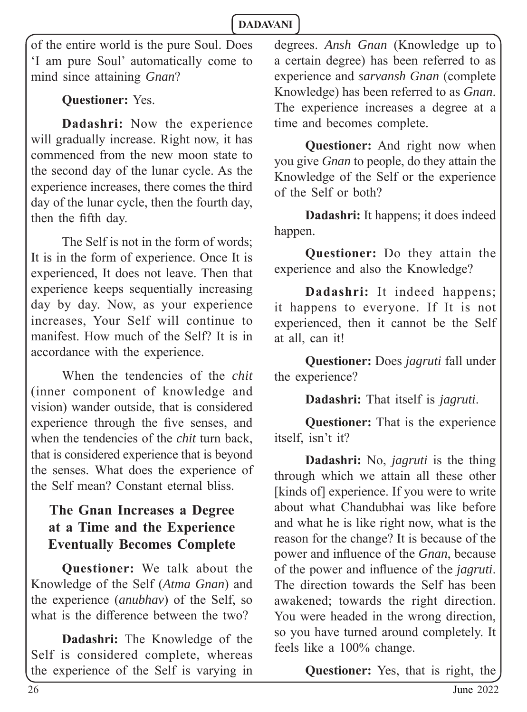of the entire world is the pure Soul. Does 'I am pure Soul' automatically come to mind since attaining *Gnan*?

### **Questioner:** Yes.

**Dadashri:** Now the experience will gradually increase. Right now, it has commenced from the new moon state to the second day of the lunar cycle. As the experience increases, there comes the third day of the lunar cycle, then the fourth day, then the fifth day.

The Self is not in the form of words; It is in the form of experience. Once It is experienced, It does not leave. Then that experience keeps sequentially increasing day by day. Now, as your experience increases, Your Self will continue to manifest. How much of the Self? It is in accordance with the experience.

When the tendencies of the *chit* (inner component of knowledge and vision) wander outside, that is considered experience through the five senses, and when the tendencies of the *chit* turn back, that is considered experience that is beyond the senses. What does the experience of the Self mean? Constant eternal bliss.

# **The Gnan Increases a Degree at a Time and the Experience Eventually Becomes Complete**

**Questioner:** We talk about the Knowledge of the Self (*Atma Gnan*) and the experience (*anubhav*) of the Self, so what is the difference between the  $two?$ 

**Dadashri:** The Knowledge of the Self is considered complete, whereas the experience of the Self is varying in degrees. *Ansh Gnan* (Knowledge up to a certain degree) has been referred to as experience and *sarvansh Gnan* (complete Knowledge) has been referred to as *Gnan*. The experience increases a degree at a time and becomes complete.

**Questioner:** And right now when you give *Gnan* to people, do they attain the Knowledge of the Self or the experience of the Self or both?

**Dadashri:** It happens; it does indeed happen.

**Questioner:** Do they attain the experience and also the Knowledge?

**Dadashri:** It indeed happens; it happens to everyone. If It is not experienced, then it cannot be the Self at all, can it!

**Questioner:** Does *jagruti* fall under the experience?

**Dadashri:** That itself is *jagruti*.

**Questioner:** That is the experience itself, isn't it?

**Dadashri:** No, *jagruti* is the thing through which we attain all these other [kinds of] experience. If you were to write about what Chandubhai was like before and what he is like right now, what is the reason for the change? It is because of the power and influence of the *Gnan*, because of the power and infl uence of the *jagruti*. The direction towards the Self has been awakened; towards the right direction. You were headed in the wrong direction, so you have turned around completely. It feels like a 100% change.

**Questioner:** Yes, that is right, the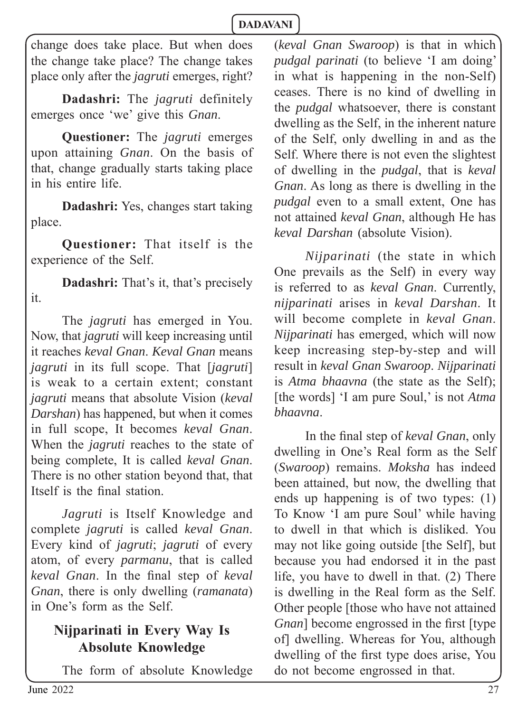change does take place. But when does the change take place? The change takes place only after the *jagruti* emerges, right?

**Dadashri:** The *jagruti* definitely emerges once 'we' give this *Gnan*.

**Questioner:** The *jagruti* emerges upon attaining *Gnan*. On the basis of that, change gradually starts taking place in his entire life.

**Dadashri:** Yes, changes start taking place.

**Questioner:** That itself is the experience of the Self.

**Dadashri:** That's it, that's precisely it.

The *jagruti* has emerged in You. Now, that *jagruti* will keep increasing until it reaches *keval Gnan*. *Keval Gnan* means *jagruti* in its full scope. That [*jagruti*] is weak to a certain extent; constant *jagruti* means that absolute Vision (*keval Darshan*) has happened, but when it comes in full scope, It becomes *keval Gnan*. When the *jagruti* reaches to the state of being complete, It is called *keval Gnan*. There is no other station beyond that, that Itself is the final station

*Jagruti* is Itself Knowledge and complete *jagruti* is called *keval Gnan*. Every kind of *jagruti*; *jagruti* of every atom, of every *parmanu*, that is called *keval Gnan*. In the final step of *keval Gnan*, there is only dwelling (*ramanata*) in One's form as the Self.

# **Nijparinati in Every Way Is Absolute Knowledge**

The form of absolute Knowledge

(*keval Gnan Swaroop*) is that in which *pudgal parinati* (to believe 'I am doing' in what is happening in the non-Self) ceases. There is no kind of dwelling in the *pudgal* whatsoever, there is constant dwelling as the Self, in the inherent nature of the Self, only dwelling in and as the Self. Where there is not even the slightest of dwelling in the *pudgal*, that is *keval Gnan*. As long as there is dwelling in the *pudgal* even to a small extent, One has not attained *keval Gnan*, although He has *keval Darshan* (absolute Vision).

*Nijparinati* (the state in which One prevails as the Self) in every way is referred to as *keval Gnan*. Currently, *nijparinati* arises in *keval Darshan*. It will become complete in *keval Gnan*. *Nijparinati* has emerged, which will now keep increasing step-by-step and will result in *keval Gnan Swaroop*. *Nijparinati* is *Atma bhaavna* (the state as the Self); [the words] 'I am pure Soul,' is not *Atma bhaavna*.

In the final step of *keval Gnan*, only dwelling in One's Real form as the Self (*Swaroop*) remains. *Moksha* has indeed been attained, but now, the dwelling that ends up happening is of two types: (1) To Know 'I am pure Soul' while having to dwell in that which is disliked. You may not like going outside [the Self], but because you had endorsed it in the past life, you have to dwell in that. (2) There is dwelling in the Real form as the Self. Other people [those who have not attained *Gnan*] become engrossed in the first [type] of] dwelling. Whereas for You, although dwelling of the first type does arise, You do not become engrossed in that.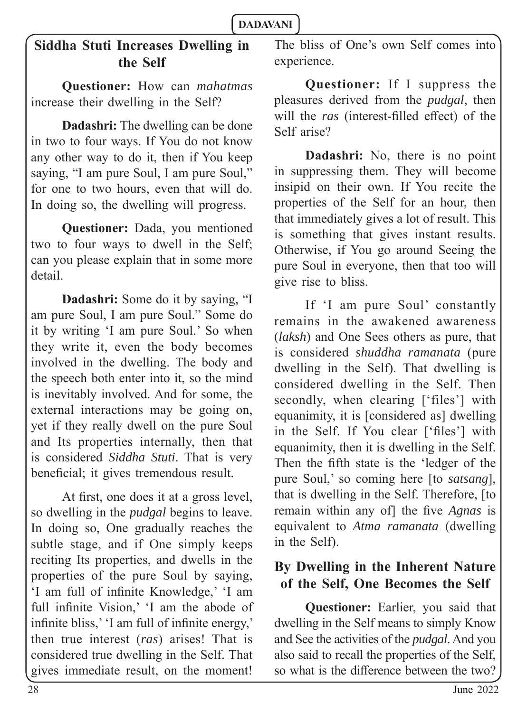# **Siddha Stuti Increases Dwelling in the Self**

**Questioner:** How can *mahatmas*  increase their dwelling in the Self?

**Dadashri:** The dwelling can be done in two to four ways. If You do not know any other way to do it, then if You keep saying, "I am pure Soul, I am pure Soul," for one to two hours, even that will do. In doing so, the dwelling will progress.

**Questioner:** Dada, you mentioned two to four ways to dwell in the Self; can you please explain that in some more detail.

**Dadashri:** Some do it by saying, "I am pure Soul, I am pure Soul." Some do it by writing 'I am pure Soul.' So when they write it, even the body becomes involved in the dwelling. The body and the speech both enter into it, so the mind is inevitably involved. And for some, the external interactions may be going on, yet if they really dwell on the pure Soul and Its properties internally, then that is considered *Siddha Stuti*. That is very beneficial; it gives tremendous result.

At first, one does it at a gross level, so dwelling in the *pudgal* begins to leave. In doing so, One gradually reaches the subtle stage, and if One simply keeps reciting Its properties, and dwells in the properties of the pure Soul by saying, 'I am full of infinite Knowledge,' 'I am full infinite Vision,' 'I am the abode of infinite bliss,' 'I am full of infinite energy,' then true interest (*ras*) arises! That is considered true dwelling in the Self. That gives immediate result, on the moment!

The bliss of One's own Self comes into experience.

**Questioner:** If I suppress the pleasures derived from the *pudgal*, then will the *ras* (interest-filled effect) of the Self arise?

**Dadashri:** No, there is no point in suppressing them. They will become insipid on their own. If You recite the properties of the Self for an hour, then that immediately gives a lot of result. This is something that gives instant results. Otherwise, if You go around Seeing the pure Soul in everyone, then that too will give rise to bliss.

If 'I am pure Soul' constantly remains in the awakened awareness (*laksh*) and One Sees others as pure, that is considered *shuddha ramanata* (pure dwelling in the Self). That dwelling is considered dwelling in the Self. Then secondly, when clearing ['files'] with equanimity, it is [considered as] dwelling in the Self. If You clear ['files'] with equanimity, then it is dwelling in the Self. Then the fifth state is the 'ledger of the pure Soul,' so coming here [to *satsang*], that is dwelling in the Self. Therefore, [to remain within any of] the five *Agnas* is equivalent to *Atma ramanata* (dwelling in the Self).

# **By Dwelling in the Inherent Nature of the Self, One Becomes the Self**

**Questioner:** Earlier, you said that dwelling in the Self means to simply Know and See the activities of the *pudgal*. And you also said to recall the properties of the Self, so what is the difference between the two?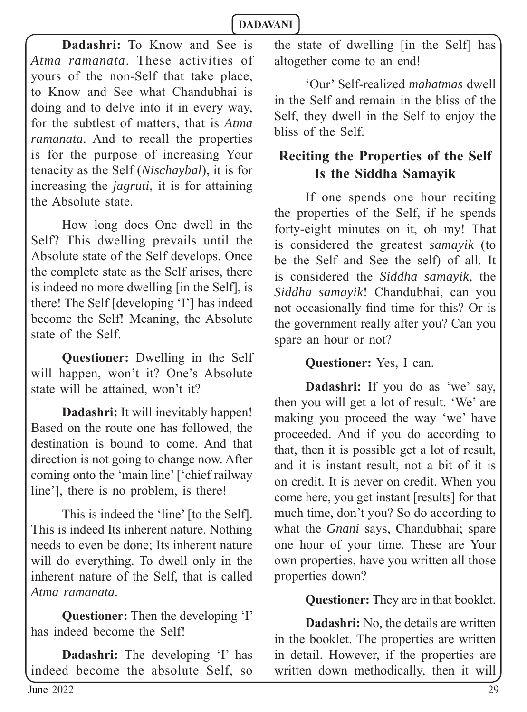**Dadashri:** To Know and See is *Atma ramanata*. These activities of yours of the non-Self that take place, to Know and See what Chandubhai is doing and to delve into it in every way, for the subtlest of matters, that is *Atma ramanata*. And to recall the properties is for the purpose of increasing Your tenacity as the Self (*Nischaybal*), it is for increasing the *jagruti*, it is for attaining the Absolute state.

How long does One dwell in the Self? This dwelling prevails until the Absolute state of the Self develops. Once the complete state as the Self arises, there is indeed no more dwelling [in the Self], is there! The Self [developing 'I'] has indeed become the Self! Meaning, the Absolute state of the Self.

**Questioner:** Dwelling in the Self will happen, won't it? One's Absolute state will be attained, won't it?

**Dadashri:** It will inevitably happen! Based on the route one has followed, the destination is bound to come. And that direction is not going to change now. After coming onto the 'main line' ['chief railway line'], there is no problem, is there!

This is indeed the 'line' [to the Self]. This is indeed Its inherent nature. Nothing needs to even be done; Its inherent nature will do everything. To dwell only in the inherent nature of the Self, that is called *Atma ramanata*.

**Questioner:** Then the developing 'I' has indeed become the Self!

**Dadashri:** The developing 'I' has indeed become the absolute Self, so

the state of dwelling [in the Self] has altogether come to an end!

'Our' Self-realized *mahatmas* dwell in the Self and remain in the bliss of the Self, they dwell in the Self to enjoy the bliss of the Self.

# **Reciting the Properties of the Self Is the Siddha Samayik**

If one spends one hour reciting the properties of the Self, if he spends forty-eight minutes on it, oh my! That is considered the greatest *samayik* (to be the Self and See the self) of all. It is considered the *Siddha samayik*, the *Siddha samayik*! Chandubhai, can you not occasionally find time for this? Or is the government really after you? Can you spare an hour or not?

### **Questioner:** Yes, I can.

**Dadashri:** If you do as 'we' say, then you will get a lot of result. 'We' are making you proceed the way 'we' have proceeded. And if you do according to that, then it is possible get a lot of result, and it is instant result, not a bit of it is on credit. It is never on credit. When you come here, you get instant [results] for that much time, don't you? So do according to what the *Gnani* says, Chandubhai; spare one hour of your time. These are Your own properties, have you written all those properties down?

### **Questioner:** They are in that booklet.

**Dadashri:** No, the details are written in the booklet. The properties are written in detail. However, if the properties are written down methodically, then it will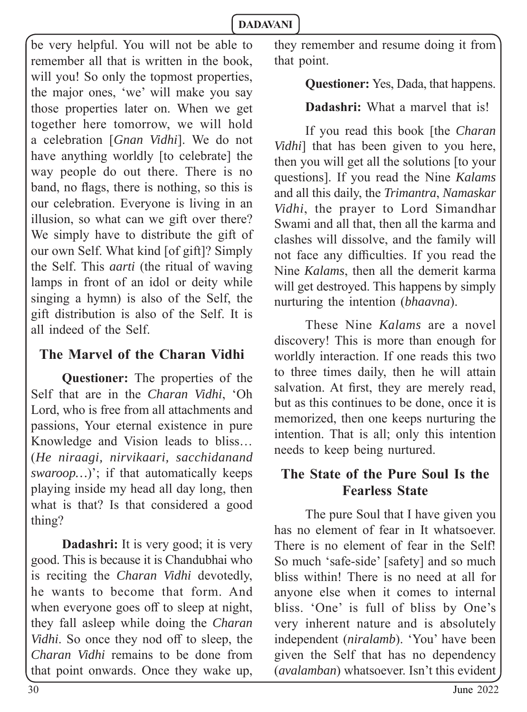be very helpful. You will not be able to remember all that is written in the book, will you! So only the topmost properties, the major ones, 'we' will make you say those properties later on. When we get together here tomorrow, we will hold a celebration [*Gnan Vidhi*]. We do not have anything worldly [to celebrate] the way people do out there. There is no band, no flags, there is nothing, so this is our celebration. Everyone is living in an illusion, so what can we gift over there? We simply have to distribute the gift of our own Self. What kind [of gift]? Simply the Self. This *aarti* (the ritual of waving lamps in front of an idol or deity while singing a hymn) is also of the Self, the gift distribution is also of the Self. It is all indeed of the Self.

# **The Marvel of the Charan Vidhi**

**Questioner:** The properties of the Self that are in the *Charan Vidhi*, 'Oh Lord, who is free from all attachments and passions, Your eternal existence in pure Knowledge and Vision leads to bliss… (*He niraagi, nirvikaari, sacchidanand swaroop…*)'; if that automatically keeps playing inside my head all day long, then what is that? Is that considered a good thing?

**Dadashri:** It is very good; it is very good. This is because it is Chandubhai who is reciting the *Charan Vidhi* devotedly, he wants to become that form. And when everyone goes off to sleep at night, they fall asleep while doing the *Charan Vidhi*. So once they nod off to sleep, the *Charan Vidhi* remains to be done from that point onwards. Once they wake up, they remember and resume doing it from that point.

### **Questioner:** Yes, Dada, that happens.

# **Dadashri:** What a marvel that is!

If you read this book [the *Charan Vidhi*] that has been given to you here, then you will get all the solutions [to your questions]. If you read the Nine *Kalams* and all this daily, the *Trimantra*, *Namaskar Vidhi*, the prayer to Lord Simandhar Swami and all that, then all the karma and clashes will dissolve, and the family will not face any difficulties. If you read the Nine *Kalams*, then all the demerit karma will get destroyed. This happens by simply nurturing the intention (*bhaavna*).

These Nine *Kalams* are a novel discovery! This is more than enough for worldly interaction. If one reads this two to three times daily, then he will attain salvation. At first, they are merely read, but as this continues to be done, once it is memorized, then one keeps nurturing the intention. That is all; only this intention needs to keep being nurtured.

# **The State of the Pure Soul Is the Fearless State**

The pure Soul that I have given you has no element of fear in It whatsoever. There is no element of fear in the Self! So much 'safe-side' [safety] and so much bliss within! There is no need at all for anyone else when it comes to internal bliss. 'One' is full of bliss by One's very inherent nature and is absolutely independent (*niralamb*). 'You' have been given the Self that has no dependency (*avalamban*) whatsoever. Isn't this evident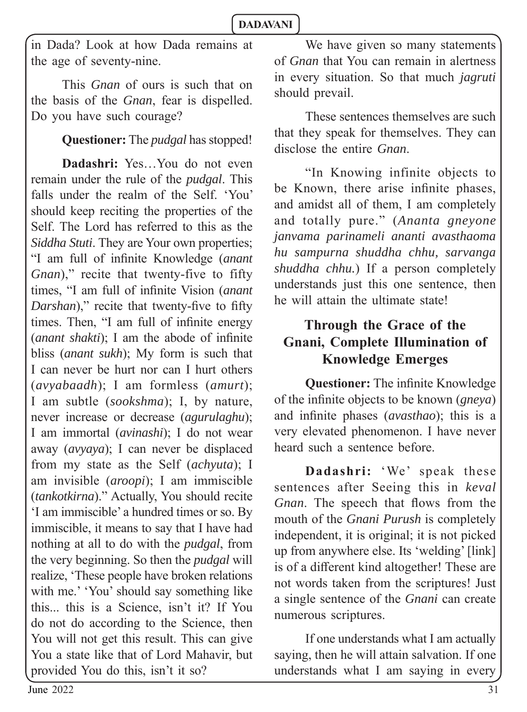in Dada? Look at how Dada remains at the age of seventy-nine.

This *Gnan* of ours is such that on the basis of the *Gnan*, fear is dispelled. Do you have such courage?

**Questioner:** The *pudgal* has stopped!

**Dadashri:** Yes…You do not even remain under the rule of the *pudgal*. This falls under the realm of the Self. 'You' should keep reciting the properties of the Self. The Lord has referred to this as the *Siddha Stuti*. They are Your own properties; "I am full of infinite Knowledge (*anant Gnan*)," recite that twenty-five to fifty times, "I am full of infinite Vision (*anant Darshan*)," recite that twenty-five to fifty times. Then, "I am full of infinite energy (*anant shakti*); I am the abode of infinite bliss (*anant sukh*); My form is such that I can never be hurt nor can I hurt others (*avyabaadh*); I am formless (*amurt*); I am subtle (*sookshma*); I, by nature, never increase or decrease (*agurulaghu*); I am immortal (*avinashi*); I do not wear away (*avyaya*); I can never be displaced from my state as the Self (*achyuta*); I am invisible (*aroopi*); I am immiscible (*tankotkirna*)." Actually, You should recite 'I am immiscible' a hundred times or so. By immiscible, it means to say that I have had nothing at all to do with the *pudgal*, from the very beginning. So then the *pudgal* will realize, 'These people have broken relations with me.' 'You' should say something like this... this is a Science, isn't it? If You do not do according to the Science, then You will not get this result. This can give You a state like that of Lord Mahavir, but provided You do this, isn't it so?

We have given so many statements of *Gnan* that You can remain in alertness in every situation. So that much *jagruti* should prevail.

These sentences themselves are such that they speak for themselves. They can disclose the entire *Gnan*.

"In Knowing infinite objects to be Known, there arise infinite phases, and amidst all of them, I am completely and totally pure." (*Ananta gneyone janvama parinameli ananti avasthaoma hu sampurna shuddha chhu, sarvanga shuddha chhu.*) If a person completely understands just this one sentence, then he will attain the ultimate state!

# **Through the Grace of the Gnani, Complete Illumination of Knowledge Emerges**

**Questioner:** The infinite Knowledge of the infinite objects to be known (*gneya*) and infinite phases (*avasthao*); this is a very elevated phenomenon. I have never heard such a sentence before.

**Dadashri:** 'We' speak these sentences after Seeing this in *keval Gnan*. The speech that flows from the mouth of the *Gnani Purush* is completely independent, it is original; it is not picked up from anywhere else. Its 'welding' [link] is of a different kind altogether! These are not words taken from the scriptures! Just a single sentence of the *Gnani* can create numerous scriptures.

If one understands what I am actually saying, then he will attain salvation. If one understands what I am saying in every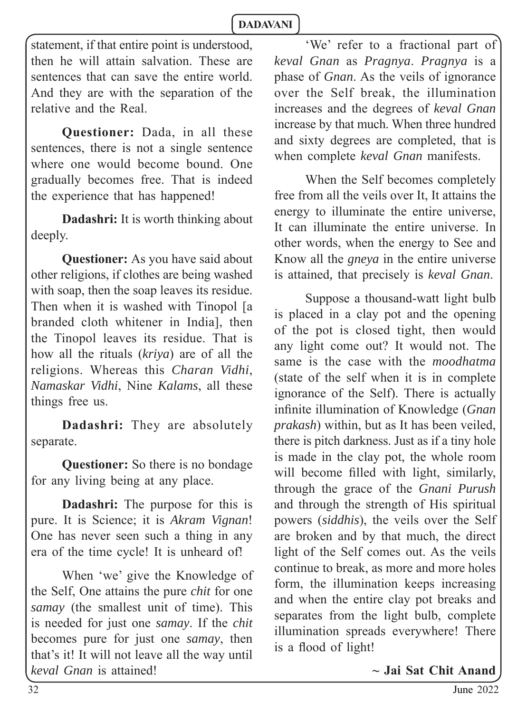statement, if that entire point is understood, then he will attain salvation. These are sentences that can save the entire world. And they are with the separation of the relative and the Real.

**Questioner:** Dada, in all these sentences, there is not a single sentence where one would become bound. One gradually becomes free. That is indeed the experience that has happened!

**Dadashri:** It is worth thinking about deeply.

**Questioner:** As you have said about other religions, if clothes are being washed with soap, then the soap leaves its residue. Then when it is washed with Tinopol [a branded cloth whitener in India], then the Tinopol leaves its residue. That is how all the rituals (*kriya*) are of all the religions. Whereas this *Charan Vidhi*, *Namaskar Vidhi*, Nine *Kalams*, all these things free us.

**Dadashri:** They are absolutely separate.

**Questioner:** So there is no bondage for any living being at any place.

**Dadashri:** The purpose for this is pure. It is Science; it is *Akram Vignan*! One has never seen such a thing in any era of the time cycle! It is unheard of!

When 'we' give the Knowledge of the Self, One attains the pure *chit* for one *samay* (the smallest unit of time). This is needed for just one *samay*. If the *chit* becomes pure for just one *samay*, then that's it! It will not leave all the way until *keval Gnan* is attained!

'We' refer to a fractional part of *keval Gnan* as *Pragnya*. *Pragnya* is a phase of *Gnan*. As the veils of ignorance over the Self break, the illumination increases and the degrees of *keval Gnan* increase by that much. When three hundred and sixty degrees are completed, that is when complete *keval Gnan* manifests.

When the Self becomes completely free from all the veils over It, It attains the energy to illuminate the entire universe, It can illuminate the entire universe. In other words, when the energy to See and Know all the *gneya* in the entire universe is attained*,* that precisely is *keval Gnan*.

Suppose a thousand-watt light bulb is placed in a clay pot and the opening of the pot is closed tight, then would any light come out? It would not. The same is the case with the *moodhatma*  (state of the self when it is in complete ignorance of the Self). There is actually infinite illumination of Knowledge (*Gnan*) *prakash*) within, but as It has been veiled, there is pitch darkness. Just as if a tiny hole is made in the clay pot, the whole room will become filled with light, similarly, through the grace of the *Gnani Purush*  and through the strength of His spiritual powers (*siddhis*), the veils over the Self are broken and by that much, the direct light of the Self comes out. As the veils continue to break, as more and more holes form, the illumination keeps increasing and when the entire clay pot breaks and separates from the light bulb, complete illumination spreads everywhere! There is a flood of light!

**~ Jai Sat Chit Anand**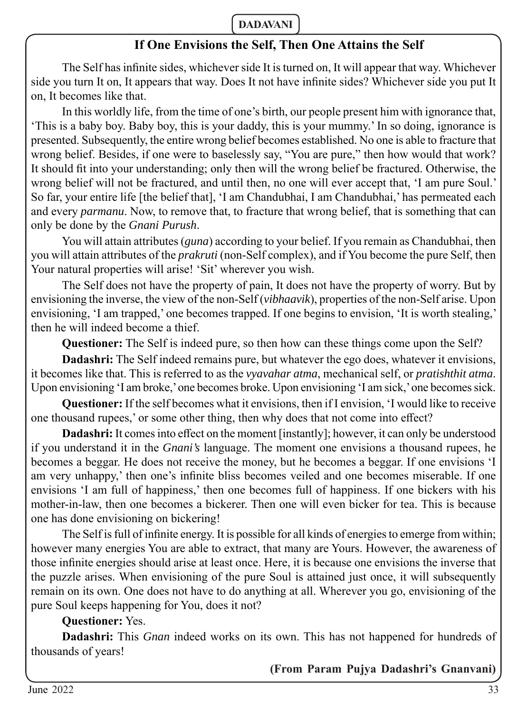### **If One Envisions the Self, Then One Attains the Self**

The Self has infinite sides, whichever side It is turned on, It will appear that way. Whichever side you turn It on, It appears that way. Does It not have infinite sides? Whichever side you put It on, It becomes like that.

In this worldly life, from the time of one's birth, our people present him with ignorance that, 'This is a baby boy. Baby boy, this is your daddy, this is your mummy.' In so doing, ignorance is presented. Subsequently, the entire wrong belief becomes established. No one is able to fracture that wrong belief. Besides, if one were to baselessly say, "You are pure," then how would that work? It should fit into your understanding; only then will the wrong belief be fractured. Otherwise, the wrong belief will not be fractured, and until then, no one will ever accept that, 'I am pure Soul.' So far, your entire life [the belief that], 'I am Chandubhai, I am Chandubhai,' has permeated each and every *parmanu*. Now, to remove that, to fracture that wrong belief, that is something that can only be done by the *Gnani Purush*.

You will attain attributes (*guna*) according to your belief. If you remain as Chandubhai, then you will attain attributes of the *prakruti* (non-Self complex), and if You become the pure Self, then Your natural properties will arise! 'Sit' wherever you wish.

The Self does not have the property of pain, It does not have the property of worry. But by envisioning the inverse, the view of the non-Self (*vibhaavik*), properties of the non-Self arise. Upon envisioning, 'I am trapped,' one becomes trapped. If one begins to envision, 'It is worth stealing,' then he will indeed become a thief.

**Questioner:** The Self is indeed pure, so then how can these things come upon the Self?

**Dadashri:** The Self indeed remains pure, but whatever the ego does, whatever it envisions, it becomes like that. This is referred to as the *vyavahar atma*, mechanical self, or *pratishthit atma*. Upon envisioning 'I am broke,' one becomes broke. Upon envisioning 'I am sick,' one becomes sick.

**Questioner:** If the self becomes what it envisions, then if I envision, 'I would like to receive one thousand rupees,' or some other thing, then why does that not come into effect?

**Dadashri:** It comes into effect on the moment [instantly]; however, it can only be understood if you understand it in the *Gnani's* language. The moment one envisions a thousand rupees, he becomes a beggar. He does not receive the money, but he becomes a beggar. If one envisions 'I am very unhappy,' then one's infinite bliss becomes veiled and one becomes miserable. If one envisions 'I am full of happiness,' then one becomes full of happiness. If one bickers with his mother-in-law, then one becomes a bickerer. Then one will even bicker for tea. This is because one has done envisioning on bickering!

The Self is full of infinite energy. It is possible for all kinds of energies to emerge from within; however many energies You are able to extract, that many are Yours. However, the awareness of those infinite energies should arise at least once. Here, it is because one envisions the inverse that the puzzle arises. When envisioning of the pure Soul is attained just once, it will subsequently remain on its own. One does not have to do anything at all. Wherever you go, envisioning of the pure Soul keeps happening for You, does it not?

### **Questioner:** Yes.

**Dadashri:** This *Gnan* indeed works on its own. This has not happened for hundreds of thousands of years!

**(From Param Pujya Dadashri's Gnanvani)**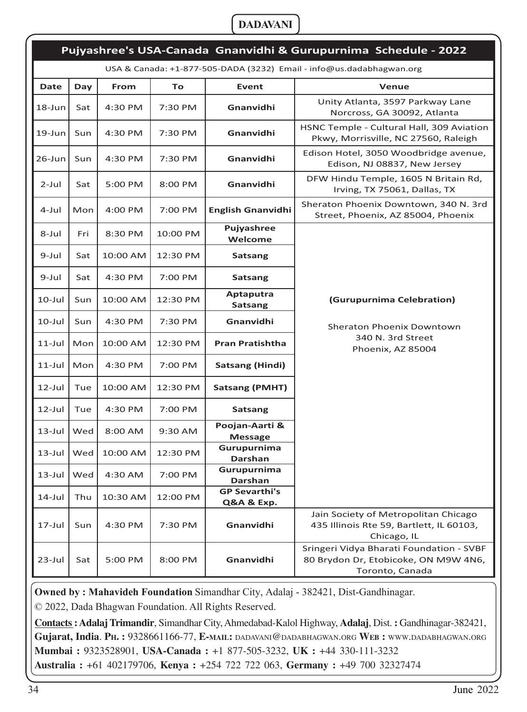| Pujyashree's USA-Canada Gnanvidhi & Gurupurnima Schedule - 2022      |     |          |          |                                    |                                                                                                     |
|----------------------------------------------------------------------|-----|----------|----------|------------------------------------|-----------------------------------------------------------------------------------------------------|
| USA & Canada: +1-877-505-DADA (3232) Email - info@us.dadabhagwan.org |     |          |          |                                    |                                                                                                     |
| Date                                                                 | Day | From     | To       | <b>Event</b>                       | Venue                                                                                               |
| 18-Jun                                                               | Sat | 4:30 PM  | 7:30 PM  | Gnanvidhi                          | Unity Atlanta, 3597 Parkway Lane<br>Norcross, GA 30092, Atlanta                                     |
| 19-Jun                                                               | Sun | 4:30 PM  | 7:30 PM  | Gnanvidhi                          | HSNC Temple - Cultural Hall, 309 Aviation<br>Pkwy, Morrisville, NC 27560, Raleigh                   |
| 26-Jun                                                               | Sun | 4:30 PM  | 7:30 PM  | Gnanvidhi                          | Edison Hotel, 3050 Woodbridge avenue,<br>Edison, NJ 08837, New Jersey                               |
| $2$ -Jul                                                             | Sat | 5:00 PM  | 8:00 PM  | Gnanvidhi                          | DFW Hindu Temple, 1605 N Britain Rd,<br>Irving, TX 75061, Dallas, TX                                |
| 4-Jul                                                                | Mon | 4:00 PM  | 7:00 PM  | <b>English Gnanvidhi</b>           | Sheraton Phoenix Downtown, 340 N. 3rd<br>Street, Phoenix, AZ 85004, Phoenix                         |
| 8-Jul                                                                | Fri | 8:30 PM  | 10:00 PM | Pujyashree<br>Welcome              |                                                                                                     |
| 9-Jul                                                                | Sat | 10:00 AM | 12:30 PM | Satsang                            |                                                                                                     |
| 9-Jul                                                                | Sat | 4:30 PM  | 7:00 PM  | Satsang                            |                                                                                                     |
| $10$ -Jul                                                            | Sun | 10:00 AM | 12:30 PM | Aptaputra<br><b>Satsang</b>        | (Gurupurnima Celebration)                                                                           |
| $10$ -Jul                                                            | Sun | 4:30 PM  | 7:30 PM  | Gnanvidhi                          | Sheraton Phoenix Downtown                                                                           |
| 11-Jul                                                               | Mon | 10:00 AM | 12:30 PM | <b>Pran Pratishtha</b>             | 340 N. 3rd Street<br>Phoenix, AZ 85004                                                              |
| $11$ -Jul                                                            | Mon | 4:30 PM  | 7:00 PM  | Satsang (Hindi)                    |                                                                                                     |
| $12$ -Jul                                                            | Tue | 10:00 AM | 12:30 PM | <b>Satsang (PMHT)</b>              |                                                                                                     |
| $12$ -Jul                                                            | Tue | 4:30 PM  | 7:00 PM  | <b>Satsang</b>                     |                                                                                                     |
| $13$ -Jul                                                            | Wed | 8:00 AM  | 9:30 AM  | Poojan-Aarti &<br><b>Message</b>   |                                                                                                     |
| 13-Jul                                                               | Wed | 10:00 AM | 12:30 PM | Gurupurnima<br>Darshan             |                                                                                                     |
| 13-Jul                                                               | Wed | 4:30 AM  | 7:00 PM  | Gurupurnima<br><b>Darshan</b>      |                                                                                                     |
| $14$ -Jul                                                            | Thu | 10:30 AM | 12:00 PM | <b>GP Sevarthi's</b><br>Q&A & Exp. |                                                                                                     |
| 17-Jul                                                               | Sun | 4:30 PM  | 7:30 PM  | Gnanvidhi                          | Jain Society of Metropolitan Chicago<br>435 Illinois Rte 59, Bartlett, IL 60103,<br>Chicago, IL     |
| 23-Jul                                                               | Sat | 5:00 PM  | 8:00 PM  | Gnanvidhi                          | Sringeri Vidya Bharati Foundation - SVBF<br>80 Brydon Dr, Etobicoke, ON M9W 4N6,<br>Toronto, Canada |

**Owned by : Mahavideh Foundation** Simandhar City, Adalaj - 382421, Dist-Gandhinagar.

© 2022, Dada Bhagwan Foundation. All Rights Reserved.

**Contacts : Adalaj Trimandir**, Simandhar City, Ahmedabad-Kalol Highway, **Adalaj**, Dist. **:** Gandhinagar-382421, **Gujarat, India**. **PH. :** 9328661166-77, **E-MAIL:** DADAVANI@DADABHAGWAN.ORG **WEB :** WWW.DADABHAGWAN.ORG **Mumbai :** 9323528901, **USA-Canada :** +1 877-505-3232, **UK :** +44 330-111-3232 **Australia :** +61 402179706, **Kenya :** +254 722 722 063, **Germany :** +49 700 32327474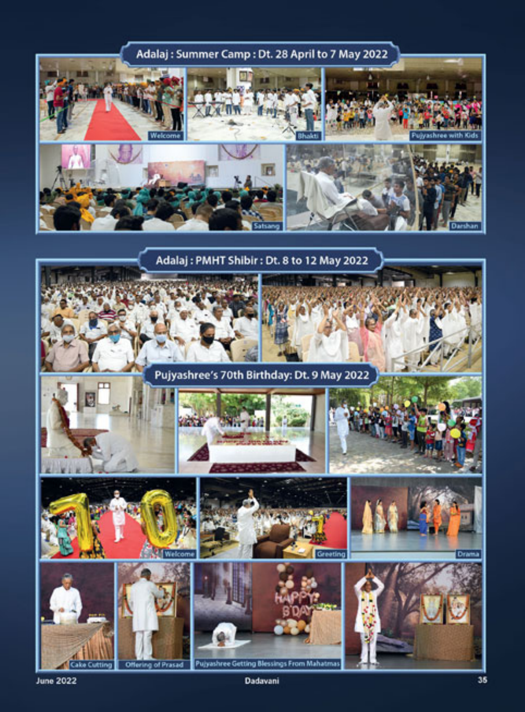

**June 2022** 

Dadavani